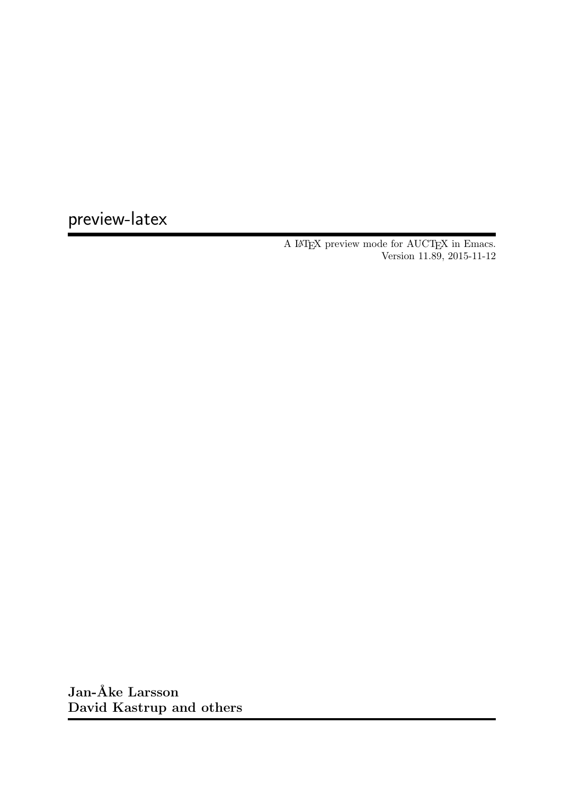preview-latex

A LAT<sub>E</sub>X preview mode for AUCT<sub>E</sub>X in Emacs. Version 11.89, 2015-11-12

Jan-Åke Larsson David Kastrup and others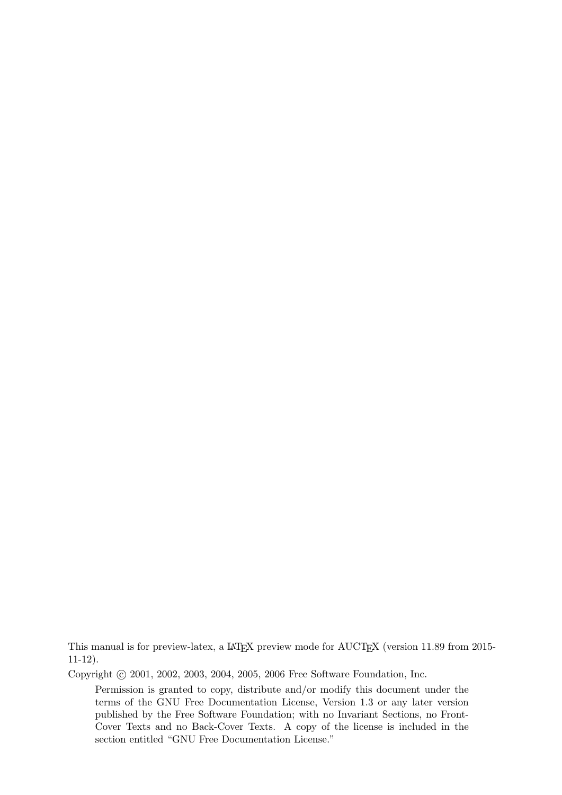This manual is for preview-latex, a LAT<sub>E</sub>X preview mode for AUCT<sub>E</sub>X (version 11.89 from 2015-11-12).

Copyright © 2001, 2002, 2003, 2004, 2005, 2006 Free Software Foundation, Inc.

Permission is granted to copy, distribute and/or modify this document under the terms of the GNU Free Documentation License, Version 1.3 or any later version published by the Free Software Foundation; with no Invariant Sections, no Front-Cover Texts and no Back-Cover Texts. A copy of the license is included in the section entitled "GNU Free Documentation License."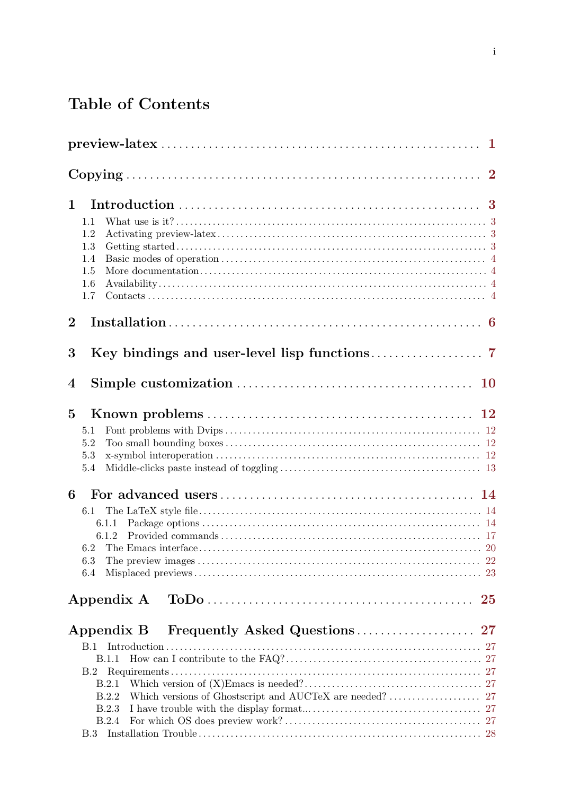# Table of Contents

| $\mathbf 1$    | 1.1<br>1.2<br>1.3<br>1.4<br>1.5<br>1.6<br>1.7                                              |          |
|----------------|--------------------------------------------------------------------------------------------|----------|
| $\bf{2}$       |                                                                                            |          |
| 3              |                                                                                            |          |
| $\bf{4}$       |                                                                                            |          |
| $\overline{5}$ | 5.1<br>5.2<br>5.3<br>5.4                                                                   |          |
| 6              | $6.1\,$<br>6.1.1<br>6.1.2<br>6.3<br>6.4                                                    |          |
|                | Appendix A                                                                                 | $\bf 25$ |
|                | Appendix B<br>B.1<br>B.1.1<br>B.2<br>B.2.1<br>B.2.2<br>B.2.3<br><b>B.2.4</b><br><b>B.3</b> |          |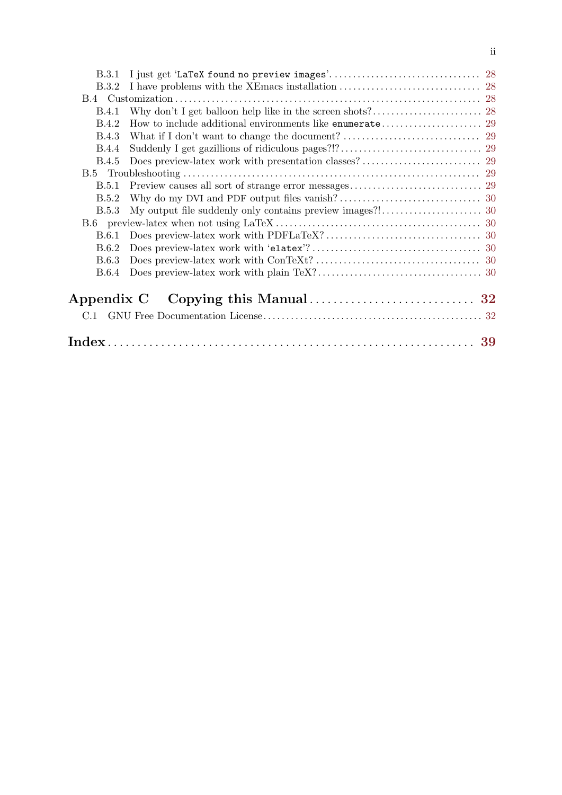| <b>B.3.1</b> |                                                                                                                              |  |
|--------------|------------------------------------------------------------------------------------------------------------------------------|--|
| B.3.2        |                                                                                                                              |  |
|              |                                                                                                                              |  |
| B.4.1        |                                                                                                                              |  |
| B.4.2        |                                                                                                                              |  |
| <b>B.4.3</b> |                                                                                                                              |  |
| <b>B.4.4</b> |                                                                                                                              |  |
| <b>B.4.5</b> |                                                                                                                              |  |
|              |                                                                                                                              |  |
| <b>B.5.1</b> |                                                                                                                              |  |
| B.5.2        |                                                                                                                              |  |
| B.5.3        |                                                                                                                              |  |
|              |                                                                                                                              |  |
| B.6.1        |                                                                                                                              |  |
| B.6.2        |                                                                                                                              |  |
| <b>B.6.3</b> |                                                                                                                              |  |
| B.6.4        |                                                                                                                              |  |
| Appendix C   |                                                                                                                              |  |
| C.1          |                                                                                                                              |  |
|              | $\rm Index \dots \dots \dots \dots \dots \dots \dots \dots \dots \dots \dots \dots \dots \dots \dots \dots \dots \dots \ 39$ |  |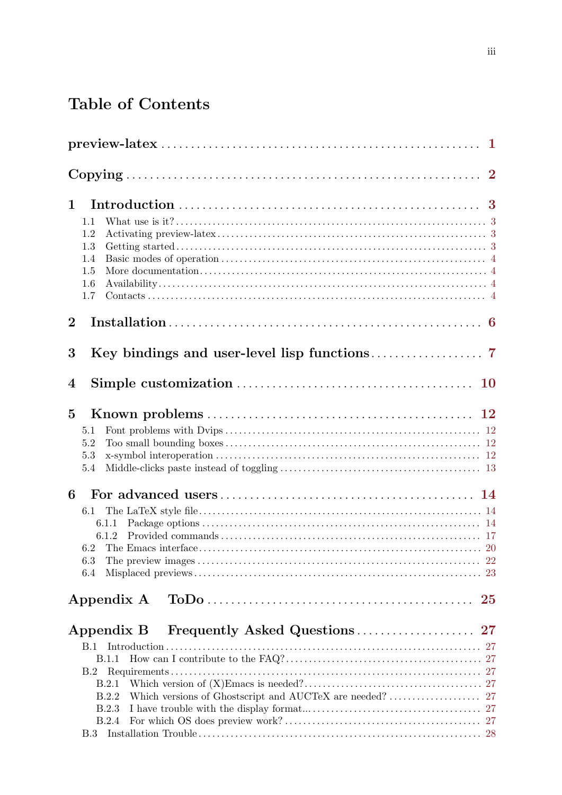# Table of Contents

| 1.1<br>1.2<br>1.3<br>1.4<br>1.5<br>1.6<br>1.7                                |    |
|------------------------------------------------------------------------------|----|
|                                                                              |    |
|                                                                              |    |
|                                                                              |    |
| 5.1<br>5.2<br>5.3<br>5.4                                                     |    |
| $6.1\,$<br>6.1.1<br>6.1.2<br>6.3<br>6.4                                      |    |
| Appendix A                                                                   | 25 |
| Appendix B<br>B.1<br>B.1.1<br>B.2<br>B.2.1<br>B.2.2<br>B.2.3<br><b>B.2.4</b> |    |
|                                                                              |    |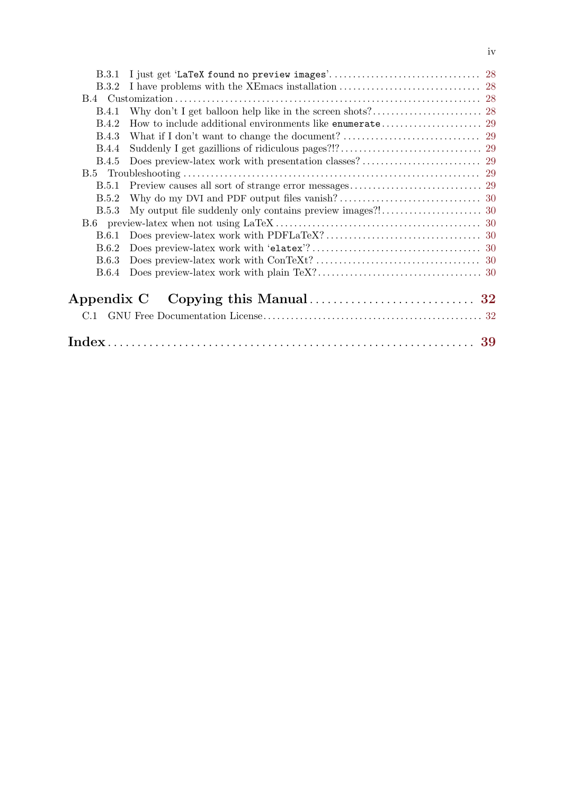| <b>B.3.2</b>                                                                                                                 |  |
|------------------------------------------------------------------------------------------------------------------------------|--|
|                                                                                                                              |  |
| B.4.1                                                                                                                        |  |
| B.4.2                                                                                                                        |  |
| <b>B.4.3</b>                                                                                                                 |  |
| <b>B.4.4</b>                                                                                                                 |  |
| <b>B.4.5</b>                                                                                                                 |  |
|                                                                                                                              |  |
| B.5.1                                                                                                                        |  |
| B.5.2                                                                                                                        |  |
| <b>B.5.3</b>                                                                                                                 |  |
|                                                                                                                              |  |
| <b>B.6.1</b>                                                                                                                 |  |
| B.6.2                                                                                                                        |  |
| <b>B.6.3</b>                                                                                                                 |  |
| <b>B.6.4</b>                                                                                                                 |  |
| Appendix C                                                                                                                   |  |
| C.1                                                                                                                          |  |
| $\rm Index \dots \dots \dots \dots \dots \dots \dots \dots \dots \dots \dots \dots \dots \dots \dots \dots \dots \dots \ 39$ |  |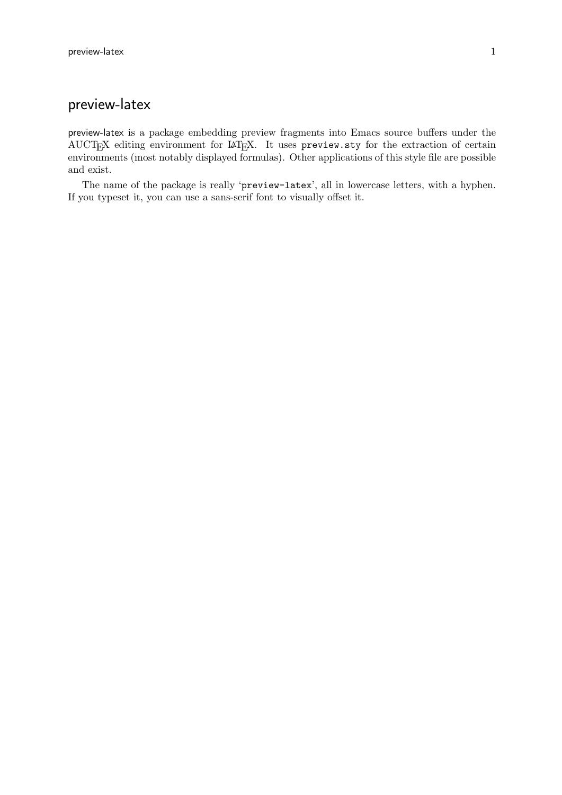## <span id="page-6-0"></span>preview-latex

preview-latex is a package embedding preview fragments into Emacs source buffers under the AUCTEX editing environment for LATEX. It uses preview.sty for the extraction of certain environments (most notably displayed formulas). Other applications of this style file are possible and exist.

The name of the package is really 'preview-latex', all in lowercase letters, with a hyphen. If you typeset it, you can use a sans-serif font to visually offset it.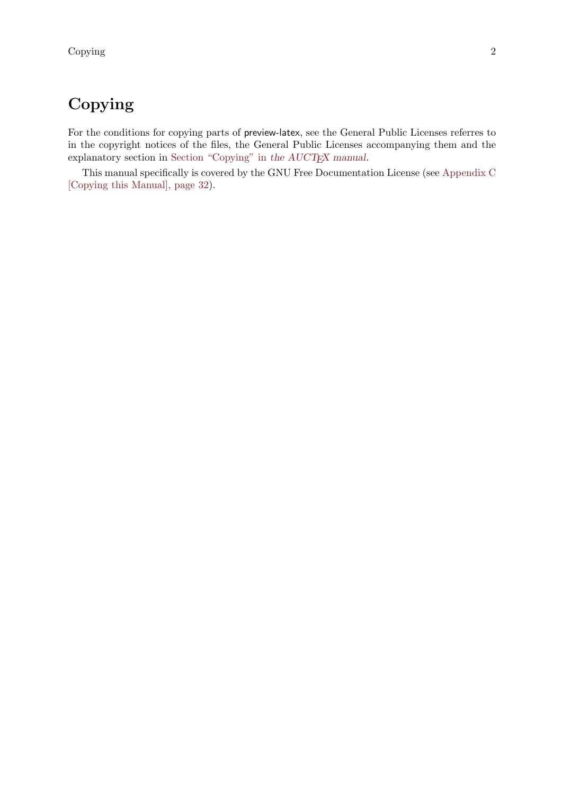## <span id="page-7-0"></span>Copying

For the conditions for copying parts of preview-latex, see the General Public Licenses referres to in the copyright notices of the files, the General Public Licenses accompanying them and the explanatory section in Section "Copying" in [the AUCTEX manual](#page-7-0).

This manual specifically is covered by the GNU Free Documentation License (see [Appendix C](#page-37-0) [\[Copying this Manual\], page 32](#page-37-0)).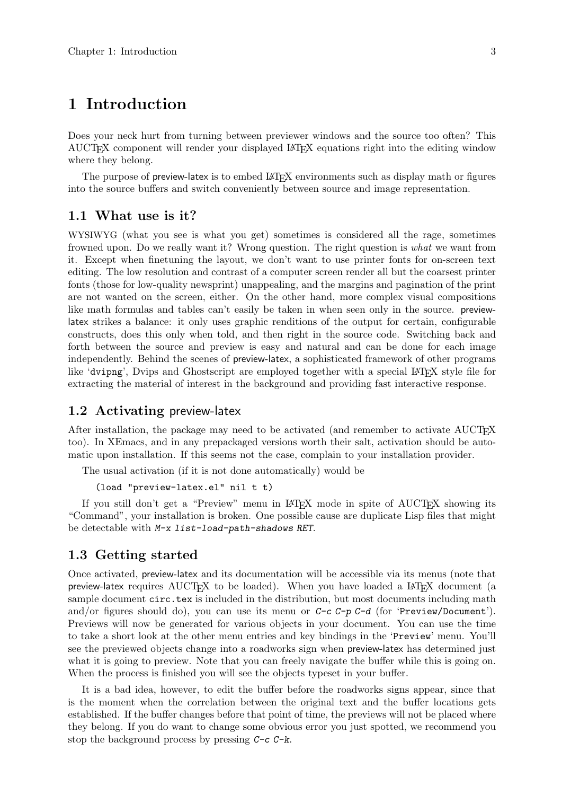## <span id="page-8-0"></span>1 Introduction

Does your neck hurt from turning between previewer windows and the source too often? This AUCTEX component will render your displayed LaTEX equations right into the editing window where they belong.

The purpose of **preview-latex** is to embed LAT<sub>EX</sub> environments such as display math or figures into the source buffers and switch conveniently between source and image representation.

### 1.1 What use is it?

WYSIWYG (what you see is what you get) sometimes is considered all the rage, sometimes frowned upon. Do we really want it? Wrong question. The right question is what we want from it. Except when finetuning the layout, we don't want to use printer fonts for on-screen text editing. The low resolution and contrast of a computer screen render all but the coarsest printer fonts (those for low-quality newsprint) unappealing, and the margins and pagination of the print are not wanted on the screen, either. On the other hand, more complex visual compositions like math formulas and tables can't easily be taken in when seen only in the source. previewlatex strikes a balance: it only uses graphic renditions of the output for certain, configurable constructs, does this only when told, and then right in the source code. Switching back and forth between the source and preview is easy and natural and can be done for each image independently. Behind the scenes of preview-latex, a sophisticated framework of other programs like 'dvipng', Dvips and Ghostscript are employed together with a special LAT<sub>E</sub>X style file for extracting the material of interest in the background and providing fast interactive response.

### 1.2 Activating preview-latex

After installation, the package may need to be activated (and remember to activate AUCT<sub>EX</sub> too). In XEmacs, and in any prepackaged versions worth their salt, activation should be automatic upon installation. If this seems not the case, complain to your installation provider.

The usual activation (if it is not done automatically) would be

```
(load "preview-latex.el" nil t t)
```
If you still don't get a "Preview" menu in  $\mathbb{A}T\mathbb{F}X$  mode in spite of  $\mathrm{A}U\mathrm{CT}\mathbb{F}X$  showing its "Command", your installation is broken. One possible cause are duplicate Lisp files that might be detectable with M-x list-load-path-shadows RET.

### 1.3 Getting started

Once activated, preview-latex and its documentation will be accessible via its menus (note that preview-latex requires  $\text{AUCTrX}$  to be loaded). When you have loaded a LATEX document (a sample document circ.tex is included in the distribution, but most documents including math and/or figures should do), you can use its menu or  $C-c$   $C-p$   $C-d$  (for 'Preview/Document'). Previews will now be generated for various objects in your document. You can use the time to take a short look at the other menu entries and key bindings in the 'Preview' menu. You'll see the previewed objects change into a roadworks sign when preview-latex has determined just what it is going to preview. Note that you can freely navigate the buffer while this is going on. When the process is finished you will see the objects typeset in your buffer.

It is a bad idea, however, to edit the buffer before the roadworks signs appear, since that is the moment when the correlation between the original text and the buffer locations gets established. If the buffer changes before that point of time, the previews will not be placed where they belong. If you do want to change some obvious error you just spotted, we recommend you stop the background process by pressing  $C-c$ -k.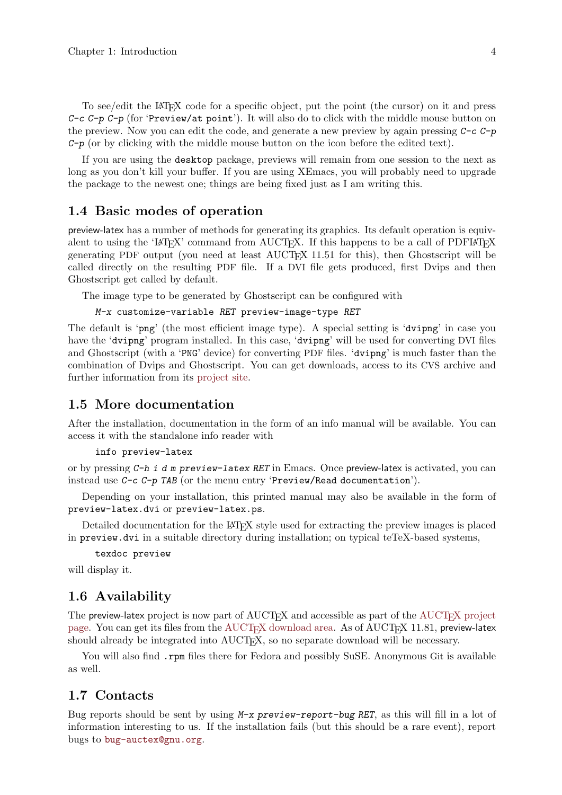<span id="page-9-0"></span>To see/edit the LAT<sub>EX</sub> code for a specific object, put the point (the cursor) on it and press C-c C-p C-p (for 'Preview/at point'). It will also do to click with the middle mouse button on the preview. Now you can edit the code, and generate a new preview by again pressing  $C-c$   $C-p$  $C-p$  (or by clicking with the middle mouse button on the icon before the edited text).

If you are using the desktop package, previews will remain from one session to the next as long as you don't kill your buffer. If you are using XEmacs, you will probably need to upgrade the package to the newest one; things are being fixed just as I am writing this.

## 1.4 Basic modes of operation

preview-latex has a number of methods for generating its graphics. Its default operation is equivalent to using the 'LATEX' command from AUCTEX. If this happens to be a call of PDFLATEX generating PDF output (you need at least  $\text{AUCT}_F X$  11.51 for this), then Ghostscript will be called directly on the resulting PDF file. If a DVI file gets produced, first Dvips and then Ghostscript get called by default.

The image type to be generated by Ghostscript can be configured with

```
M-x customize-variable RET preview-image-type RET
```
The default is 'png' (the most efficient image type). A special setting is 'dvipng' in case you have the 'dvipng' program installed. In this case, 'dvipng' will be used for converting DVI files and Ghostscript (with a 'PNG' device) for converting PDF files. 'dvipng' is much faster than the combination of Dvips and Ghostscript. You can get downloads, access to its CVS archive and further information from its [project site.](http://savannah.nongnu.org/projects/dvipng)

## 1.5 More documentation

After the installation, documentation in the form of an info manual will be available. You can access it with the standalone info reader with

```
info preview-latex
```
or by pressing C-h i d m preview-latex RET in Emacs. Once preview-latex is activated, you can instead use C-c C-p TAB (or the menu entry 'Preview/Read documentation').

Depending on your installation, this printed manual may also be available in the form of preview-latex.dvi or preview-latex.ps.

Detailed documentation for the LAT<sub>EX</sub> style used for extracting the preview images is placed in preview.dvi in a suitable directory during installation; on typical teTeX-based systems,

```
texdoc preview
```
will display it.

## 1.6 Availability

The preview-latex project is now part of AUCTEX and accessible as part of the [AUCTEX project](http://savannah.gnu.org/projects/auctex) [page.](http://savannah.gnu.org/projects/auctex) You can get its files from the  $\text{AUCTrX}$  download area. As of  $\text{AUCTrX}$  11.81, preview-latex should already be integrated into AUCT<sub>EX</sub>, so no separate download will be necessary.

You will also find .rpm files there for Fedora and possibly SuSE. Anonymous Git is available as well.

## 1.7 Contacts

Bug reports should be sent by using  $M-x$  preview-report-bug RET, as this will fill in a lot of information interesting to us. If the installation fails (but this should be a rare event), report bugs to [bug-auctex@gnu.org](mailto:bug-auctex@gnu.org).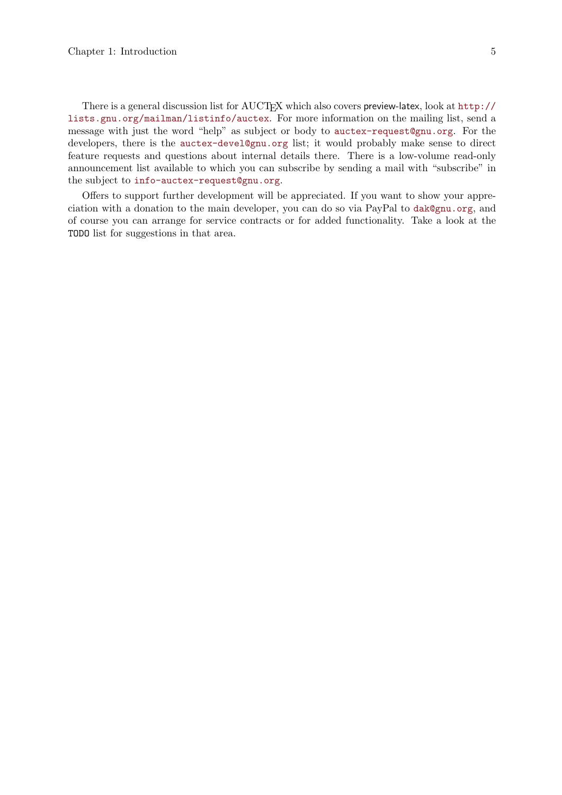There is a general discussion list for AUCTEX which also covers preview-latex, look at [http://](http://lists.gnu.org/mailman/listinfo/auctex) [lists.gnu.org/mailman/listinfo/auctex](http://lists.gnu.org/mailman/listinfo/auctex). For more information on the mailing list, send a message with just the word "help" as subject or body to [auctex-request@gnu.org](mailto:auctex-request@gnu.org). For the developers, there is the [auctex-devel@gnu.org](mailto:auctex-devel@gnu.org) list; it would probably make sense to direct feature requests and questions about internal details there. There is a low-volume read-only announcement list available to which you can subscribe by sending a mail with "subscribe" in the subject to [info-auctex-request@gnu.org](mailto:info-auctex-request@gnu.org).

Offers to support further development will be appreciated. If you want to show your appreciation with a donation to the main developer, you can do so via PayPal to [dak@gnu.org](mailto:dak@gnu.org), and of course you can arrange for service contracts or for added functionality. Take a look at the TODO list for suggestions in that area.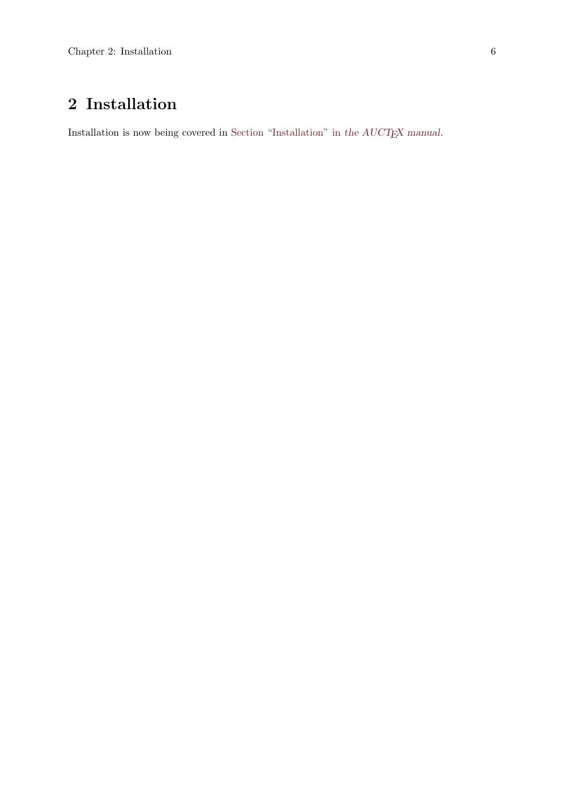# <span id="page-11-0"></span>2 Installation

Installation is now being covered in [Section "Installation" in](#page-11-0) the  $\mathcal{A} \mathcal{U} \mathcal{C} \mathcal{T}_{E} \mathcal{X}$  manual.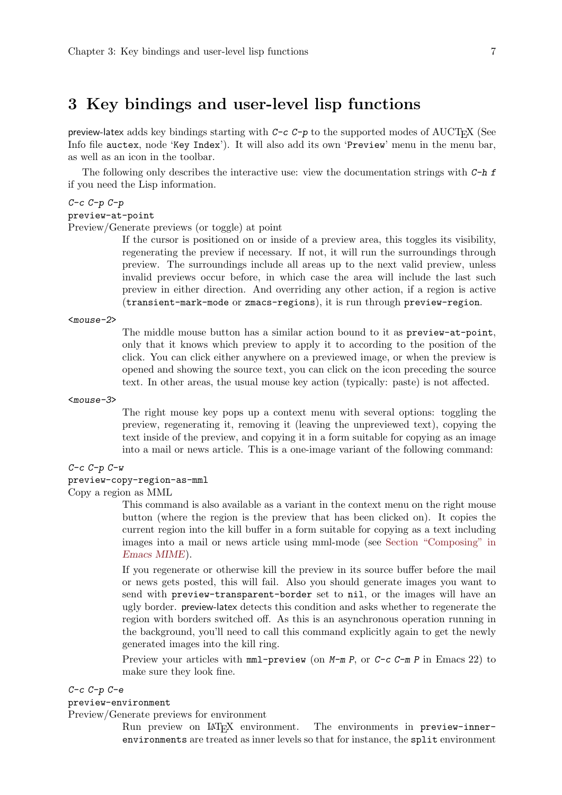## <span id="page-12-0"></span>3 Key bindings and user-level lisp functions

preview-latex adds key bindings starting with C-c C-p to the supported modes of AUCTEX (See Info file auctex, node 'Key Index'). It will also add its own 'Preview' menu in the menu bar, as well as an icon in the toolbar.

The following only describes the interactive use: view the documentation strings with  $C-h f$ if you need the Lisp information.

#### $C-c$   $C-p$   $C-p$

#### preview-at-point

Preview/Generate previews (or toggle) at point

If the cursor is positioned on or inside of a preview area, this toggles its visibility, regenerating the preview if necessary. If not, it will run the surroundings through preview. The surroundings include all areas up to the next valid preview, unless invalid previews occur before, in which case the area will include the last such preview in either direction. And overriding any other action, if a region is active (transient-mark-mode or zmacs-regions), it is run through preview-region.

<mouse-2>

The middle mouse button has a similar action bound to it as preview-at-point, only that it knows which preview to apply it to according to the position of the click. You can click either anywhere on a previewed image, or when the preview is opened and showing the source text, you can click on the icon preceding the source text. In other areas, the usual mouse key action (typically: paste) is not affected.

<mouse-3>

The right mouse key pops up a context menu with several options: toggling the preview, regenerating it, removing it (leaving the unpreviewed text), copying the text inside of the preview, and copying it in a form suitable for copying as an image into a mail or news article. This is a one-image variant of the following command:

#### $C-c$   $C-p$   $C-w$

## preview-copy-region-as-mml

Copy a region as MML

This command is also available as a variant in the context menu on the right mouse button (where the region is the preview that has been clicked on). It copies the current region into the kill buffer in a form suitable for copying as a text including images into a mail or news article using mml-mode (see Section "Composing" in Emacs MIME).

If you regenerate or otherwise kill the preview in its source buffer before the mail or news gets posted, this will fail. Also you should generate images you want to send with preview-transparent-border set to nil, or the images will have an ugly border. preview-latex detects this condition and asks whether to regenerate the region with borders switched off. As this is an asynchronous operation running in the background, you'll need to call this command explicitly again to get the newly generated images into the kill ring.

Preview your articles with mml-preview (on  $M-m P$ , or  $C-c$   $C-m P$  in Emacs 22) to make sure they look fine.

#### C-c C-p C-e

#### preview-environment

Preview/Generate previews for environment

Run preview on LAT<sub>E</sub>X environment. The environments in preview-innerenvironments are treated as inner levels so that for instance, the split environment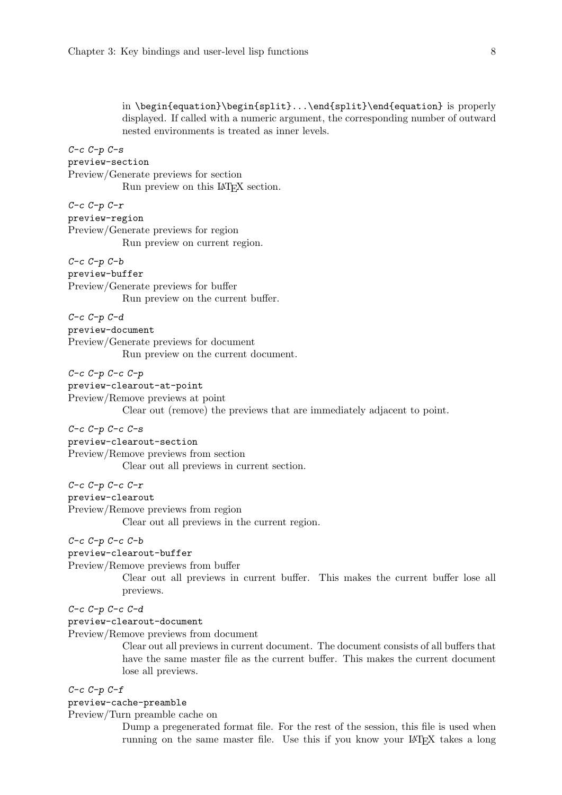<span id="page-13-0"></span>in \begin{equation}\begin{split}...\end{split}\end{equation} is properly displayed. If called with a numeric argument, the corresponding number of outward nested environments is treated as inner levels.  $C-c$   $C-p$   $C-s$ preview-section Preview/Generate previews for section Run preview on this LAT<sub>EX</sub> section.  $C-c$   $C-p$   $C-r$ preview-region Preview/Generate previews for region Run preview on current region.  $C-c$   $C-p$   $C-b$ preview-buffer Preview/Generate previews for buffer Run preview on the current buffer. C-c C-p C-d preview-document Preview/Generate previews for document Run preview on the current document.  $C-c$   $C-p$   $C-c$   $C-p$ preview-clearout-at-point Preview/Remove previews at point Clear out (remove) the previews that are immediately adjacent to point.  $C-c$   $C-p$   $C-c$   $C-s$ preview-clearout-section Preview/Remove previews from section Clear out all previews in current section.  $C-c$   $C-p$   $C-c$   $C-r$ preview-clearout Preview/Remove previews from region Clear out all previews in the current region.  $C-c$   $C-p$   $C-c$   $C-b$ 

preview-clearout-buffer

Preview/Remove previews from buffer

Clear out all previews in current buffer. This makes the current buffer lose all previews.

#### C-c C-p C-c C-d

#### preview-clearout-document

Preview/Remove previews from document

Clear out all previews in current document. The document consists of all buffers that have the same master file as the current buffer. This makes the current document lose all previews.

#### $C-c$   $C-p$   $C-f$

#### preview-cache-preamble

Preview/Turn preamble cache on

Dump a pregenerated format file. For the rest of the session, this file is used when running on the same master file. Use this if you know your LAT<sub>EX</sub> takes a long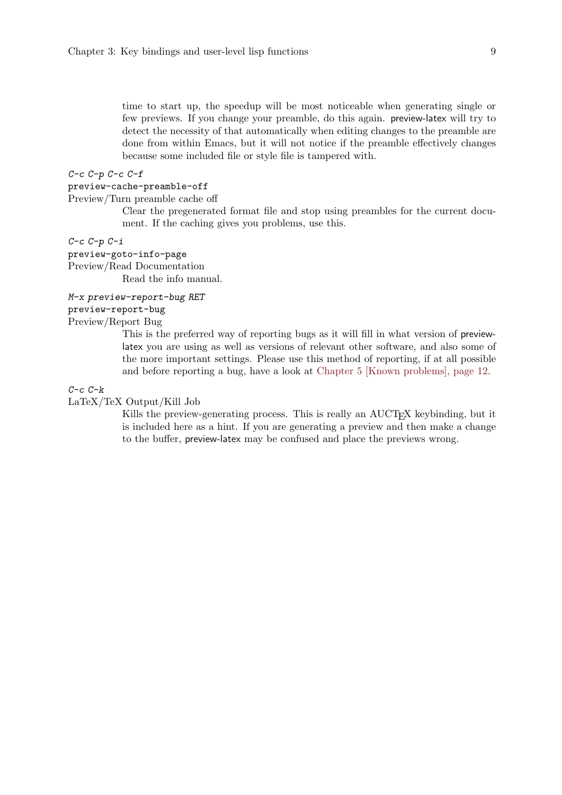<span id="page-14-0"></span>time to start up, the speedup will be most noticeable when generating single or few previews. If you change your preamble, do this again. preview-latex will try to detect the necessity of that automatically when editing changes to the preamble are done from within Emacs, but it will not notice if the preamble effectively changes because some included file or style file is tampered with.

#### $C-c$   $C-p$   $C-c$   $C-f$

#### preview-cache-preamble-off

Preview/Turn preamble cache off

Clear the pregenerated format file and stop using preambles for the current document. If the caching gives you problems, use this.

#### $C-c$   $C-p$   $C-i$

preview-goto-info-page Preview/Read Documentation Read the info manual.

#### M-x preview-report-bug RET

preview-report-bug

## Preview/Report Bug

This is the preferred way of reporting bugs as it will fill in what version of previewlatex you are using as well as versions of relevant other software, and also some of the more important settings. Please use this method of reporting, if at all possible and before reporting a bug, have a look at [Chapter 5 \[Known problems\], page 12.](#page-17-0)

#### $C-c$   $C-k$

LaTeX/TeX Output/Kill Job

Kills the preview-generating process. This is really an AUCT<sub>EX</sub> keybinding, but it is included here as a hint. If you are generating a preview and then make a change to the buffer, preview-latex may be confused and place the previews wrong.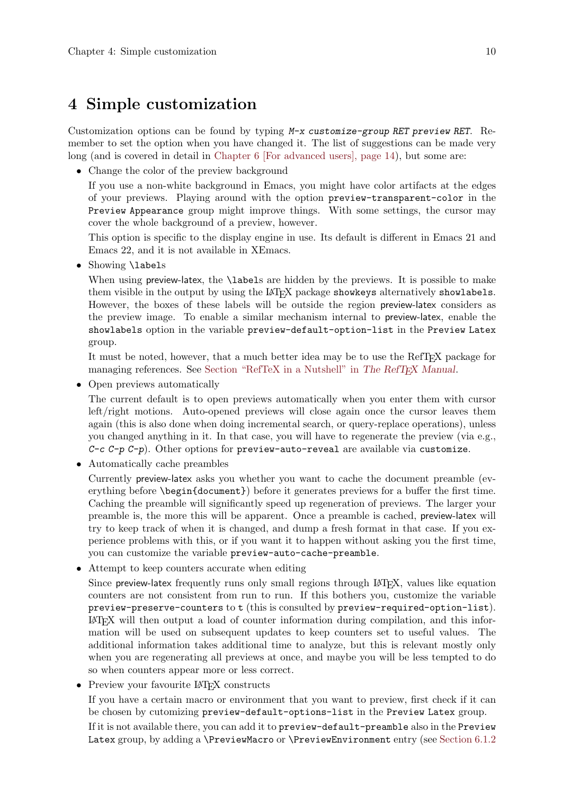## <span id="page-15-0"></span>4 Simple customization

Customization options can be found by typing M-x customize-group RET preview RET. Remember to set the option when you have changed it. The list of suggestions can be made very long (and is covered in detail in [Chapter 6 \[For advanced users\], page 14\)](#page-19-0), but some are:

• Change the color of the preview background

If you use a non-white background in Emacs, you might have color artifacts at the edges of your previews. Playing around with the option preview-transparent-color in the Preview Appearance group might improve things. With some settings, the cursor may cover the whole background of a preview, however.

This option is specific to the display engine in use. Its default is different in Emacs 21 and Emacs 22, and it is not available in XEmacs.

• Showing **\labels** 

When using preview-latex, the **\labels** are hidden by the previews. It is possible to make them visible in the output by using the LAT<sub>EX</sub> package showkeys alternatively showlabels. However, the boxes of these labels will be outside the region preview-latex considers as the preview image. To enable a similar mechanism internal to preview-latex, enable the showlabels option in the variable preview-default-option-list in the Preview Latex group.

It must be noted, however, that a much better idea may be to use the RefTEX package for managing references. See Section "RefTeX in a Nutshell" in The RefTEX Manual.

• Open previews automatically

The current default is to open previews automatically when you enter them with cursor left/right motions. Auto-opened previews will close again once the cursor leaves them again (this is also done when doing incremental search, or query-replace operations), unless you changed anything in it. In that case, you will have to regenerate the preview (via e.g.,  $C-c$   $C-p$   $C-p$ ). Other options for preview-auto-reveal are available via customize.

• Automatically cache preambles

Currently preview-latex asks you whether you want to cache the document preamble (everything before \begin{document}) before it generates previews for a buffer the first time. Caching the preamble will significantly speed up regeneration of previews. The larger your preamble is, the more this will be apparent. Once a preamble is cached, preview-latex will try to keep track of when it is changed, and dump a fresh format in that case. If you experience problems with this, or if you want it to happen without asking you the first time, you can customize the variable preview-auto-cache-preamble.

• Attempt to keep counters accurate when editing

Since preview-latex frequently runs only small regions through LAT<sub>E</sub>X, values like equation counters are not consistent from run to run. If this bothers you, customize the variable preview-preserve-counters to t (this is consulted by preview-required-option-list). LaTEX will then output a load of counter information during compilation, and this information will be used on subsequent updates to keep counters set to useful values. The additional information takes additional time to analyze, but this is relevant mostly only when you are regenerating all previews at once, and maybe you will be less tempted to do so when counters appear more or less correct.

• Preview your favourite LAT<sub>EX</sub> constructs

If you have a certain macro or environment that you want to preview, first check if it can be chosen by cutomizing preview-default-options-list in the Preview Latex group.

If it is not available there, you can add it to preview-default-preamble also in the Preview Latex group, by adding a \PreviewMacro or \PreviewEnvironment entry (see [Section 6.1.2](#page-22-1))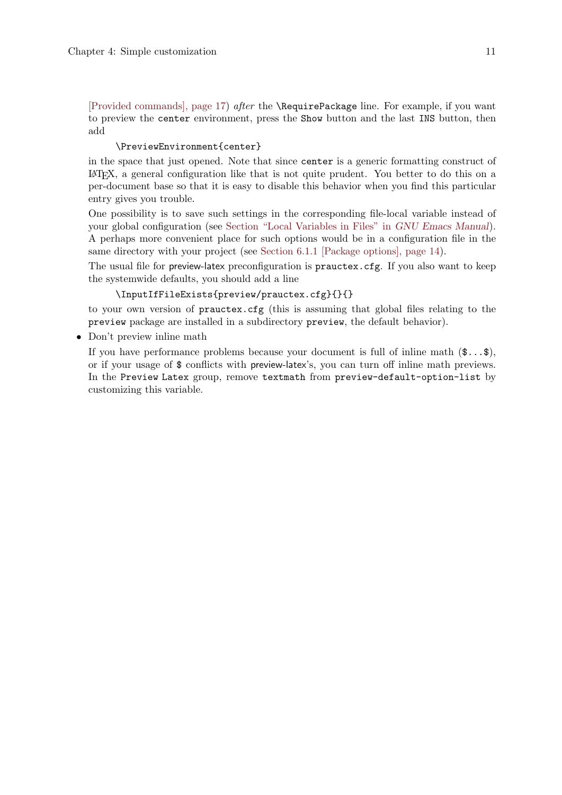<span id="page-16-0"></span>[\[Provided commands\], page 17](#page-22-1)) after the \RequirePackage line. For example, if you want to preview the center environment, press the Show button and the last INS button, then add

#### \PreviewEnvironment{center}

in the space that just opened. Note that since center is a generic formatting construct of <sup>L</sup>aTEX, a general configuration like that is not quite prudent. You better to do this on a per-document base so that it is easy to disable this behavior when you find this particular entry gives you trouble.

One possibility is to save such settings in the corresponding file-local variable instead of your global configuration (see Section "Local Variables in Files" in GNU Emacs Manual). A perhaps more convenient place for such options would be in a configuration file in the same directory with your project (see [Section 6.1.1 \[Package options\], page 14\)](#page-19-1).

The usual file for preview-latex preconfiguration is prauctex.cfg. If you also want to keep the systemwide defaults, you should add a line

#### \InputIfFileExists{preview/prauctex.cfg}{}{}

to your own version of prauctex.cfg (this is assuming that global files relating to the preview package are installed in a subdirectory preview, the default behavior).

• Don't preview inline math

If you have performance problems because your document is full of inline math  $(\mathsf{S}... \mathsf{S})$ , or if your usage of \$ conflicts with preview-latex's, you can turn off inline math previews. In the Preview Latex group, remove textmath from preview-default-option-list by customizing this variable.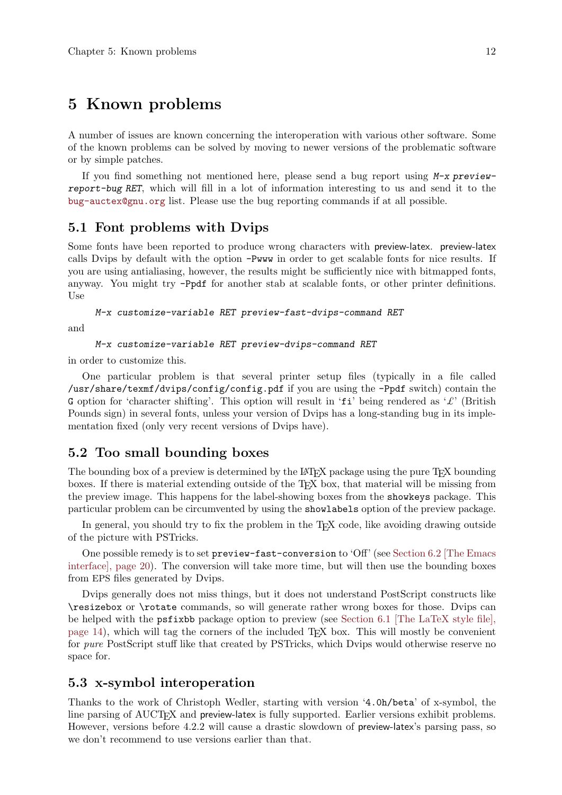## <span id="page-17-0"></span>5 Known problems

A number of issues are known concerning the interoperation with various other software. Some of the known problems can be solved by moving to newer versions of the problematic software or by simple patches.

If you find something not mentioned here, please send a bug report using  $M-x$  previewreport-bug RET, which will fill in a lot of information interesting to us and send it to the [bug-auctex@gnu.org](mailto:bug-auctex@gnu.org) list. Please use the bug reporting commands if at all possible.

## 5.1 Font problems with Dvips

Some fonts have been reported to produce wrong characters with preview-latex. preview-latex calls Dvips by default with the option -Pwww in order to get scalable fonts for nice results. If you are using antialiasing, however, the results might be sufficiently nice with bitmapped fonts, anyway. You might try -Ppdf for another stab at scalable fonts, or other printer definitions. Use

M-x customize-variable RET preview-fast-dvips-command RET

and

M-x customize-variable RET preview-dvips-command RET

in order to customize this.

One particular problem is that several printer setup files (typically in a file called /usr/share/texmf/dvips/config/config.pdf if you are using the -Ppdf switch) contain the G option for 'character shifting'. This option will result in 'fi' being rendered as ' $\mathcal{L}'$ ' (British Pounds sign) in several fonts, unless your version of Dvips has a long-standing bug in its implementation fixed (only very recent versions of Dvips have).

## 5.2 Too small bounding boxes

The bounding box of a preview is determined by the LAT<sub>EX</sub> package using the pure T<sub>EX</sub> bounding boxes. If there is material extending outside of the TEX box, that material will be missing from the preview image. This happens for the label-showing boxes from the showkeys package. This particular problem can be circumvented by using the showlabels option of the preview package.

In general, you should try to fix the problem in the T<sub>EX</sub> code, like avoiding drawing outside of the picture with PSTricks.

One possible remedy is to set preview-fast-conversion to 'Off' (see [Section 6.2 \[The Emacs](#page-25-1) [interface\], page 20\)](#page-25-1). The conversion will take more time, but will then use the bounding boxes from EPS files generated by Dvips.

Dvips generally does not miss things, but it does not understand PostScript constructs like \resizebox or \rotate commands, so will generate rather wrong boxes for those. Dvips can be helped with the psfixbb package option to preview (see [Section 6.1 \[The LaTeX style file\],](#page-19-2) [page 14\)](#page-19-2), which will tag the corners of the included TEX box. This will mostly be convenient for *pure* PostScript stuff like that created by PSTricks, which Dvips would otherwise reserve no space for.

### <span id="page-17-1"></span>5.3 x-symbol interoperation

Thanks to the work of Christoph Wedler, starting with version '4.0h/beta' of x-symbol, the line parsing of AUCT<sub>F</sub>X and preview-latex is fully supported. Earlier versions exhibit problems. However, versions before 4.2.2 will cause a drastic slowdown of preview-latex's parsing pass, so we don't recommend to use versions earlier than that.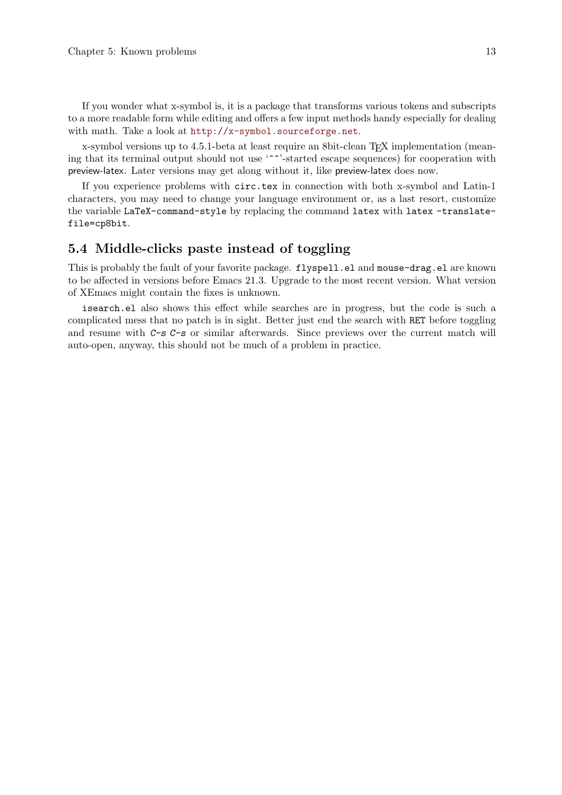<span id="page-18-0"></span>If you wonder what x-symbol is, it is a package that transforms various tokens and subscripts to a more readable form while editing and offers a few input methods handy especially for dealing with math. Take a look at <http://x-symbol.sourceforge.net>.

x-symbol versions up to 4.5.1-beta at least require an 8bit-clean T<sub>E</sub>X implementation (meaning that its terminal output should not use '^^'-started escape sequences) for cooperation with preview-latex. Later versions may get along without it, like preview-latex does now.

If you experience problems with circ.tex in connection with both x-symbol and Latin-1 characters, you may need to change your language environment or, as a last resort, customize the variable LaTeX-command-style by replacing the command latex with latex -translatefile=cp8bit.

### 5.4 Middle-clicks paste instead of toggling

This is probably the fault of your favorite package. flyspell.el and mouse-drag.el are known to be affected in versions before Emacs 21.3. Upgrade to the most recent version. What version of XEmacs might contain the fixes is unknown.

isearch.el also shows this effect while searches are in progress, but the code is such a complicated mess that no patch is in sight. Better just end the search with RET before toggling and resume with C-s C-s or similar afterwards. Since previews over the current match will auto-open, anyway, this should not be much of a problem in practice.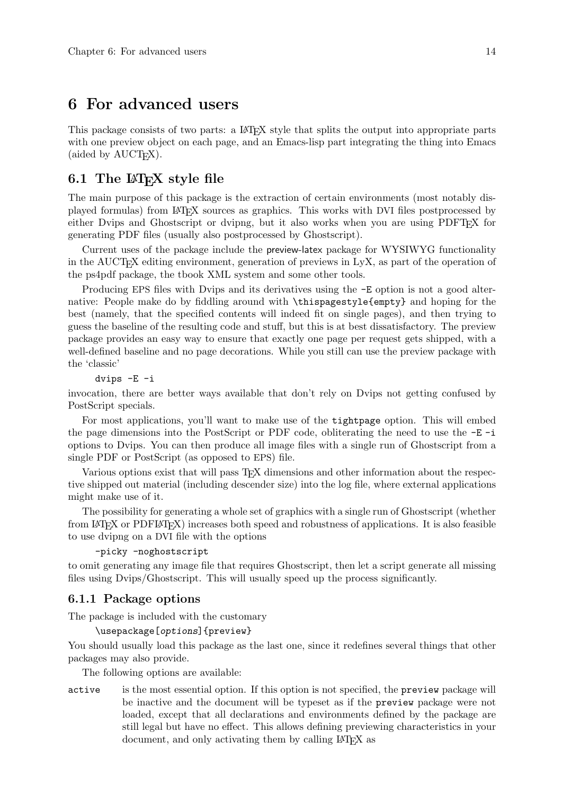## <span id="page-19-0"></span>6 For advanced users

This package consists of two parts: a LAT<sub>EX</sub> style that splits the output into appropriate parts with one preview object on each page, and an Emacs-lisp part integrating the thing into Emacs (aided by AUCT<sub>EX</sub>).

### <span id="page-19-2"></span>6.1 The  $\mathbb{A}$ T<sub>E</sub>X style file

The main purpose of this package is the extraction of certain environments (most notably displayed formulas) from LaTEX sources as graphics. This works with DVI files postprocessed by either Dvips and Ghostscript or dvipng, but it also works when you are using PDFT<sub>F</sub>X for generating PDF files (usually also postprocessed by Ghostscript).

Current uses of the package include the preview-latex package for WYSIWYG functionality in the AUCT<sub>EX</sub> editing environment, generation of previews in LyX, as part of the operation of the ps4pdf package, the tbook XML system and some other tools.

Producing EPS files with Dvips and its derivatives using the -E option is not a good alternative: People make do by fiddling around with \thispagestyle{empty} and hoping for the best (namely, that the specified contents will indeed fit on single pages), and then trying to guess the baseline of the resulting code and stuff, but this is at best dissatisfactory. The preview package provides an easy way to ensure that exactly one page per request gets shipped, with a well-defined baseline and no page decorations. While you still can use the preview package with the 'classic'

dvips -E -i

invocation, there are better ways available that don't rely on Dvips not getting confused by PostScript specials.

For most applications, you'll want to make use of the tightpage option. This will embed the page dimensions into the PostScript or PDF code, obliterating the need to use the -E -i options to Dvips. You can then produce all image files with a single run of Ghostscript from a single PDF or PostScript (as opposed to EPS) file.

Various options exist that will pass T<sub>E</sub>X dimensions and other information about the respective shipped out material (including descender size) into the log file, where external applications might make use of it.

The possibility for generating a whole set of graphics with a single run of Ghostscript (whether from LaTEX or PDFLaTEX) increases both speed and robustness of applications. It is also feasible to use dvipng on a DVI file with the options

-picky -noghostscript

to omit generating any image file that requires Ghostscript, then let a script generate all missing files using Dvips/Ghostscript. This will usually speed up the process significantly.

#### <span id="page-19-1"></span>6.1.1 Package options

The package is included with the customary

```
\usepackage[options]{preview}
```
You should usually load this package as the last one, since it redefines several things that other packages may also provide.

The following options are available:

active is the most essential option. If this option is not specified, the preview package will be inactive and the document will be typeset as if the preview package were not loaded, except that all declarations and environments defined by the package are still legal but have no effect. This allows defining previewing characteristics in your document, and only activating them by calling LAT<sub>EX</sub> as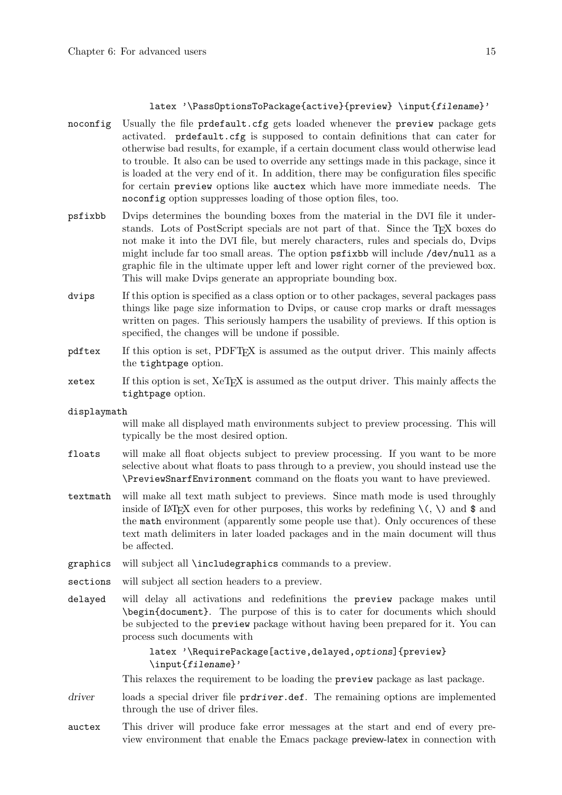#### latex '\PassOptionsToPackage{active}{preview} \input{filename}'

- noconfig Usually the file prdefault.cfg gets loaded whenever the preview package gets activated. prdefault.cfg is supposed to contain definitions that can cater for otherwise bad results, for example, if a certain document class would otherwise lead to trouble. It also can be used to override any settings made in this package, since it is loaded at the very end of it. In addition, there may be configuration files specific for certain preview options like auctex which have more immediate needs. The noconfig option suppresses loading of those option files, too.
- psfixbb Dvips determines the bounding boxes from the material in the DVI file it understands. Lots of PostScript specials are not part of that. Since the TFX boxes do not make it into the DVI file, but merely characters, rules and specials do, Dvips might include far too small areas. The option psfixbb will include /dev/null as a graphic file in the ultimate upper left and lower right corner of the previewed box. This will make Dvips generate an appropriate bounding box.
- dvips If this option is specified as a class option or to other packages, several packages pass things like page size information to Dvips, or cause crop marks or draft messages written on pages. This seriously hampers the usability of previews. If this option is specified, the changes will be undone if possible.
- pdftex If this option is set, PDFT<sub>F</sub>X is assumed as the output driver. This mainly affects the tightpage option.
- xetex If this option is set, XeTEX is assumed as the output driver. This mainly affects the tightpage option.
- displaymath

will make all displayed math environments subject to preview processing. This will typically be the most desired option.

- floats will make all float objects subject to preview processing. If you want to be more selective about what floats to pass through to a preview, you should instead use the \PreviewSnarfEnvironment command on the floats you want to have previewed.
- textmath will make all text math subject to previews. Since math mode is used throughly inside of LAT<sub>EX</sub> even for other purposes, this works by redefining  $\langle \cdot, \cdot \rangle$  and \$ and the math environment (apparently some people use that). Only occurences of these text math delimiters in later loaded packages and in the main document will thus be affected.
- graphics will subject all \includegraphics commands to a preview.
- sections will subject all section headers to a preview.
- delayed will delay all activations and redefinitions the preview package makes until \begin{document}. The purpose of this is to cater for documents which should be subjected to the preview package without having been prepared for it. You can process such documents with

latex '\RequirePackage[active,delayed,options]{preview} \input{filename}'

This relaxes the requirement to be loading the **preview** package as last package.

- driver loads a special driver file prdriver.def. The remaining options are implemented through the use of driver files.
- auctex This driver will produce fake error messages at the start and end of every preview environment that enable the Emacs package preview-latex in connection with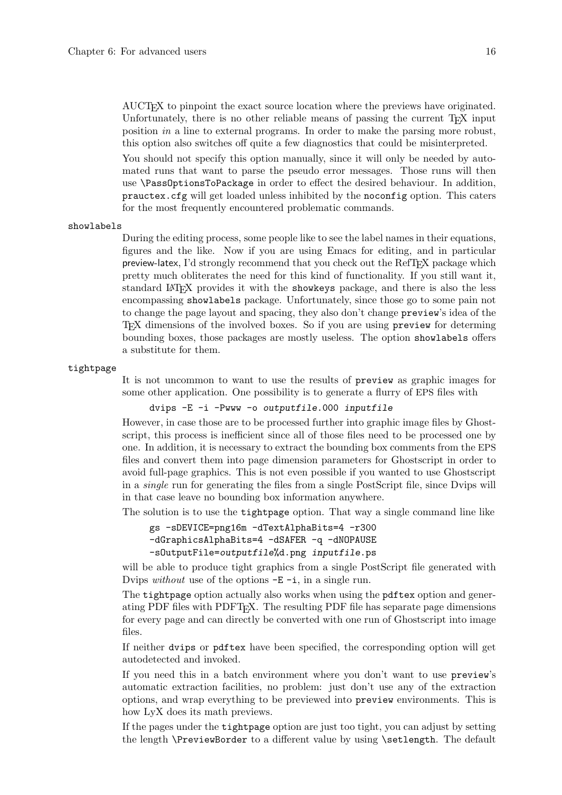AUCTEX to pinpoint the exact source location where the previews have originated. Unfortunately, there is no other reliable means of passing the current T<sub>E</sub>X input position in a line to external programs. In order to make the parsing more robust, this option also switches off quite a few diagnostics that could be misinterpreted.

You should not specify this option manually, since it will only be needed by automated runs that want to parse the pseudo error messages. Those runs will then use \PassOptionsToPackage in order to effect the desired behaviour. In addition, prauctex.cfg will get loaded unless inhibited by the noconfig option. This caters for the most frequently encountered problematic commands.

#### showlabels

During the editing process, some people like to see the label names in their equations, figures and the like. Now if you are using Emacs for editing, and in particular preview-latex, I'd strongly recommend that you check out the RefTEX package which pretty much obliterates the need for this kind of functionality. If you still want it, standard LAT<sub>EX</sub> provides it with the showkeys package, and there is also the less encompassing showlabels package. Unfortunately, since those go to some pain not to change the page layout and spacing, they also don't change preview's idea of the TEX dimensions of the involved boxes. So if you are using preview for determing bounding boxes, those packages are mostly useless. The option showlabels offers a substitute for them.

#### tightpage

It is not uncommon to want to use the results of preview as graphic images for some other application. One possibility is to generate a flurry of EPS files with

dvips -E -i -Pwww -o outputfile.000 inputfile

However, in case those are to be processed further into graphic image files by Ghostscript, this process is inefficient since all of those files need to be processed one by one. In addition, it is necessary to extract the bounding box comments from the EPS files and convert them into page dimension parameters for Ghostscript in order to avoid full-page graphics. This is not even possible if you wanted to use Ghostscript in a single run for generating the files from a single PostScript file, since Dvips will in that case leave no bounding box information anywhere.

The solution is to use the tightpage option. That way a single command line like

```
gs -sDEVICE=png16m -dTextAlphaBits=4 -r300
-dGraphicsAlphaBits=4 -dSAFER -q -dNOPAUSE
-sOutputFile=outputfile%d.png inputfile.ps
```
will be able to produce tight graphics from a single PostScript file generated with Dvips *without* use of the options  $-E - i$ , in a single run.

The tightpage option actually also works when using the pdftex option and generating PDF files with PDFTEX. The resulting PDF file has separate page dimensions for every page and can directly be converted with one run of Ghostscript into image files.

If neither dvips or pdftex have been specified, the corresponding option will get autodetected and invoked.

If you need this in a batch environment where you don't want to use preview's automatic extraction facilities, no problem: just don't use any of the extraction options, and wrap everything to be previewed into preview environments. This is how LyX does its math previews.

If the pages under the tightpage option are just too tight, you can adjust by setting the length **\PreviewBorder** to a different value by using **\setlength**. The default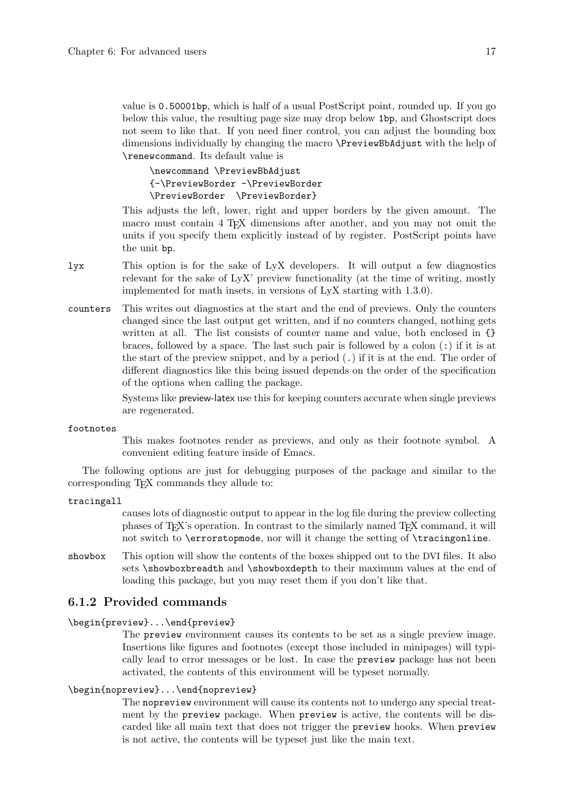<span id="page-22-0"></span>value is 0.50001bp, which is half of a usual PostScript point, rounded up. If you go below this value, the resulting page size may drop below 1bp, and Ghostscript does not seem to like that. If you need finer control, you can adjust the bounding box dimensions individually by changing the macro \PreviewBbAdjust with the help of \renewcommand. Its default value is

\newcommand \PreviewBbAdjust {-\PreviewBorder -\PreviewBorder \PreviewBorder \PreviewBorder}

This adjusts the left, lower, right and upper borders by the given amount. The macro must contain 4 T<sub>E</sub>X dimensions after another, and you may not omit the units if you specify them explicitly instead of by register. PostScript points have the unit bp.

- lyx This option is for the sake of LyX developers. It will output a few diagnostics relevant for the sake of LyX' preview functionality (at the time of writing, mostly implemented for math insets, in versions of LyX starting with 1.3.0).
- counters This writes out diagnostics at the start and the end of previews. Only the counters changed since the last output get written, and if no counters changed, nothing gets written at all. The list consists of counter name and value, both enclosed in  $\{\}$ braces, followed by a space. The last such pair is followed by a colon (:) if it is at the start of the preview snippet, and by a period  $(.)$  if it is at the end. The order of different diagnostics like this being issued depends on the order of the specification of the options when calling the package.

Systems like preview-latex use this for keeping counters accurate when single previews are regenerated.

footnotes

This makes footnotes render as previews, and only as their footnote symbol. A convenient editing feature inside of Emacs.

The following options are just for debugging purposes of the package and similar to the corresponding T<sub>E</sub>X commands they allude to:

tracingall

causes lots of diagnostic output to appear in the log file during the preview collecting phases of TEX's operation. In contrast to the similarly named TEX command, it will not switch to \errorstopmode, nor will it change the setting of \tracingonline.

showbox This option will show the contents of the boxes shipped out to the DVI files. It also sets \showboxbreadth and \showboxdepth to their maximum values at the end of loading this package, but you may reset them if you don't like that.

### <span id="page-22-1"></span>6.1.2 Provided commands

\begin{preview}...\end{preview}

The preview environment causes its contents to be set as a single preview image. Insertions like figures and footnotes (except those included in minipages) will typically lead to error messages or be lost. In case the preview package has not been activated, the contents of this environment will be typeset normally.

#### \begin{nopreview}...\end{nopreview}

The nopreview environment will cause its contents not to undergo any special treatment by the preview package. When preview is active, the contents will be discarded like all main text that does not trigger the preview hooks. When preview is not active, the contents will be typeset just like the main text.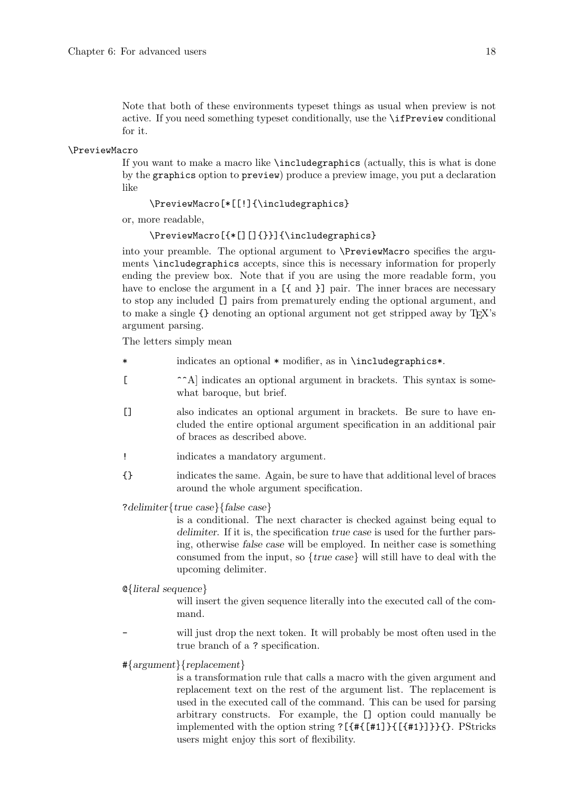<span id="page-23-0"></span>Note that both of these environments typeset things as usual when preview is not active. If you need something typeset conditionally, use the \ifPreview conditional for it.

#### \PreviewMacro

If you want to make a macro like \includegraphics (actually, this is what is done by the graphics option to preview) produce a preview image, you put a declaration like

#### \PreviewMacro[\*[[!]{\includegraphics}

or, more readable,

\PreviewMacro[{\*[][]{}}]{\includegraphics}

into your preamble. The optional argument to \PreviewMacro specifies the arguments \includegraphics accepts, since this is necessary information for properly ending the preview box. Note that if you are using the more readable form, you have to enclose the argument in a  $[\{\text{and }\}]$  pair. The inner braces are necessary to stop any included [] pairs from prematurely ending the optional argument, and to make a single {} denoting an optional argument not get stripped away by TEX's argument parsing.

The letters simply mean

- \* indicates an optional \* modifier, as in \includegraphics\*.
- [ ^^A] indicates an optional argument in brackets. This syntax is somewhat baroque, but brief.
- [] also indicates an optional argument in brackets. Be sure to have encluded the entire optional argument specification in an additional pair of braces as described above.
- ! indicates a mandatory argument.
- {} indicates the same. Again, be sure to have that additional level of braces around the whole argument specification.

?delimiter{true case}{false case}

is a conditional. The next character is checked against being equal to delimiter. If it is, the specification true case is used for the further parsing, otherwise false case will be employed. In neither case is something consumed from the input, so  ${true \; case}$  will still have to deal with the upcoming delimiter.

#### @{literal sequence}

will insert the given sequence literally into the executed call of the command.

- will just drop the next token. It will probably be most often used in the true branch of a ? specification.
- #{argument}{replacement}

is a transformation rule that calls a macro with the given argument and replacement text on the rest of the argument list. The replacement is used in the executed call of the command. This can be used for parsing arbitrary constructs. For example, the [] option could manually be implemented with the option string ?[{#{[#1]}{[{#1}]}}{}. PStricks users might enjoy this sort of flexibility.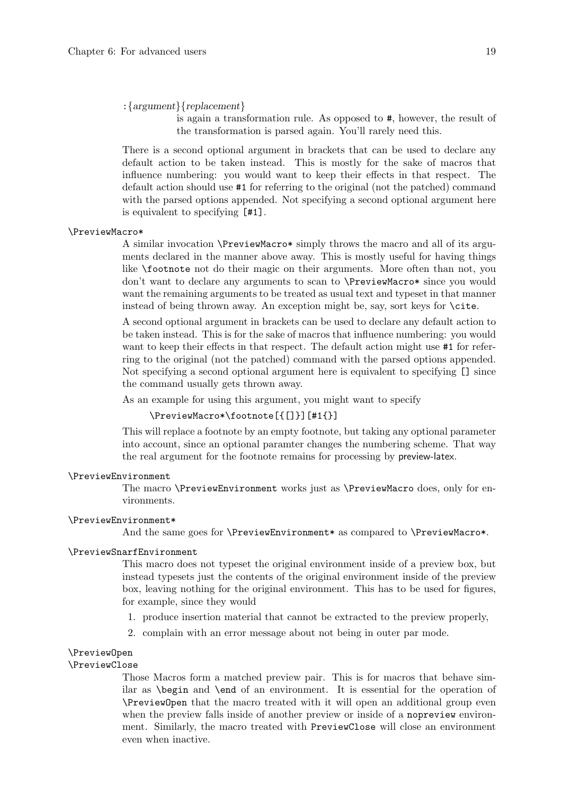#### <span id="page-24-0"></span>:{argument}{replacement}

is again a transformation rule. As opposed to #, however, the result of the transformation is parsed again. You'll rarely need this.

There is a second optional argument in brackets that can be used to declare any default action to be taken instead. This is mostly for the sake of macros that influence numbering: you would want to keep their effects in that respect. The default action should use #1 for referring to the original (not the patched) command with the parsed options appended. Not specifying a second optional argument here is equivalent to specifying [#1].

#### \PreviewMacro\*

A similar invocation \PreviewMacro\* simply throws the macro and all of its arguments declared in the manner above away. This is mostly useful for having things like \footnote not do their magic on their arguments. More often than not, you don't want to declare any arguments to scan to \PreviewMacro\* since you would want the remaining arguments to be treated as usual text and typeset in that manner instead of being thrown away. An exception might be, say, sort keys for \cite.

A second optional argument in brackets can be used to declare any default action to be taken instead. This is for the sake of macros that influence numbering: you would want to keep their effects in that respect. The default action might use #1 for referring to the original (not the patched) command with the parsed options appended. Not specifying a second optional argument here is equivalent to specifying [] since the command usually gets thrown away.

As an example for using this argument, you might want to specify

#### \PreviewMacro\*\footnote[{[]}][#1{}]

This will replace a footnote by an empty footnote, but taking any optional parameter into account, since an optional paramter changes the numbering scheme. That way the real argument for the footnote remains for processing by preview-latex.

#### \PreviewEnvironment

The macro \PreviewEnvironment works just as \PreviewMacro does, only for environments.

#### \PreviewEnvironment\*

And the same goes for \PreviewEnvironment\* as compared to \PreviewMacro\*.

#### \PreviewSnarfEnvironment

This macro does not typeset the original environment inside of a preview box, but instead typesets just the contents of the original environment inside of the preview box, leaving nothing for the original environment. This has to be used for figures, for example, since they would

- 1. produce insertion material that cannot be extracted to the preview properly,
- 2. complain with an error message about not being in outer par mode.

#### \PreviewOpen

#### \PreviewClose

Those Macros form a matched preview pair. This is for macros that behave similar as \begin and \end of an environment. It is essential for the operation of \PreviewOpen that the macro treated with it will open an additional group even when the preview falls inside of another preview or inside of a nopreview environment. Similarly, the macro treated with PreviewClose will close an environment even when inactive.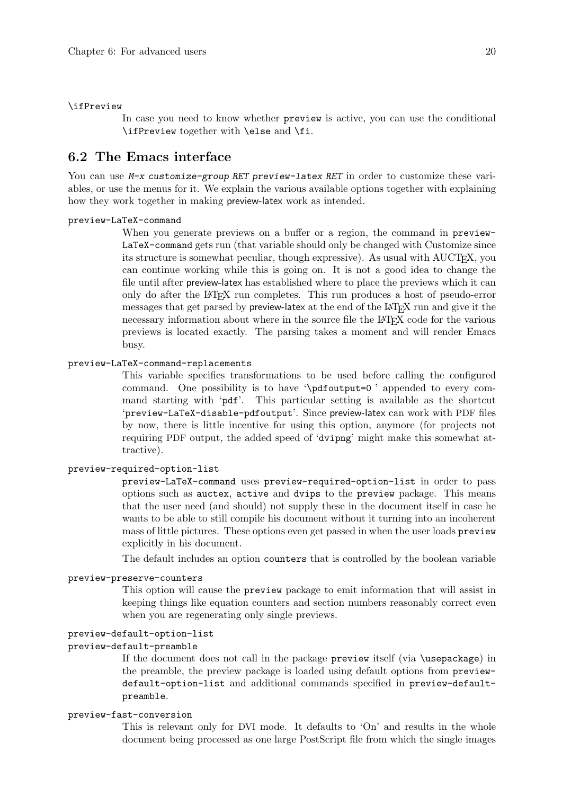#### <span id="page-25-0"></span>\ifPreview

In case you need to know whether preview is active, you can use the conditional \ifPreview together with \else and \fi.

### <span id="page-25-1"></span>6.2 The Emacs interface

You can use M-x customize-group RET preview-latex RET in order to customize these variables, or use the menus for it. We explain the various available options together with explaining how they work together in making preview-latex work as intended.

#### preview-LaTeX-command

When you generate previews on a buffer or a region, the command in preview-LaTeX-command gets run (that variable should only be changed with Customize since its structure is somewhat peculiar, though expressive). As usual with AUCT<sub>EX</sub>, you can continue working while this is going on. It is not a good idea to change the file until after preview-latex has established where to place the previews which it can only do after the LaTEX run completes. This run produces a host of pseudo-error messages that get parsed by preview-latex at the end of the LAT<sub>EX</sub> run and give it the necessary information about where in the source file the LAT<sub>EX</sub> code for the various previews is located exactly. The parsing takes a moment and will render Emacs busy.

#### preview-LaTeX-command-replacements

This variable specifies transformations to be used before calling the configured command. One possibility is to have '\pdfoutput=0 ' appended to every command starting with 'pdf'. This particular setting is available as the shortcut 'preview-LaTeX-disable-pdfoutput'. Since preview-latex can work with PDF files by now, there is little incentive for using this option, anymore (for projects not requiring PDF output, the added speed of 'dvipng' might make this somewhat attractive).

#### preview-required-option-list

preview-LaTeX-command uses preview-required-option-list in order to pass options such as auctex, active and dvips to the preview package. This means that the user need (and should) not supply these in the document itself in case he wants to be able to still compile his document without it turning into an incoherent mass of little pictures. These options even get passed in when the user loads preview explicitly in his document.

The default includes an option counters that is controlled by the boolean variable

#### preview-preserve-counters

This option will cause the preview package to emit information that will assist in keeping things like equation counters and section numbers reasonably correct even when you are regenerating only single previews.

#### preview-default-option-list

#### preview-default-preamble

If the document does not call in the package preview itself (via \usepackage) in the preamble, the preview package is loaded using default options from previewdefault-option-list and additional commands specified in preview-defaultpreamble.

#### preview-fast-conversion

This is relevant only for DVI mode. It defaults to 'On' and results in the whole document being processed as one large PostScript file from which the single images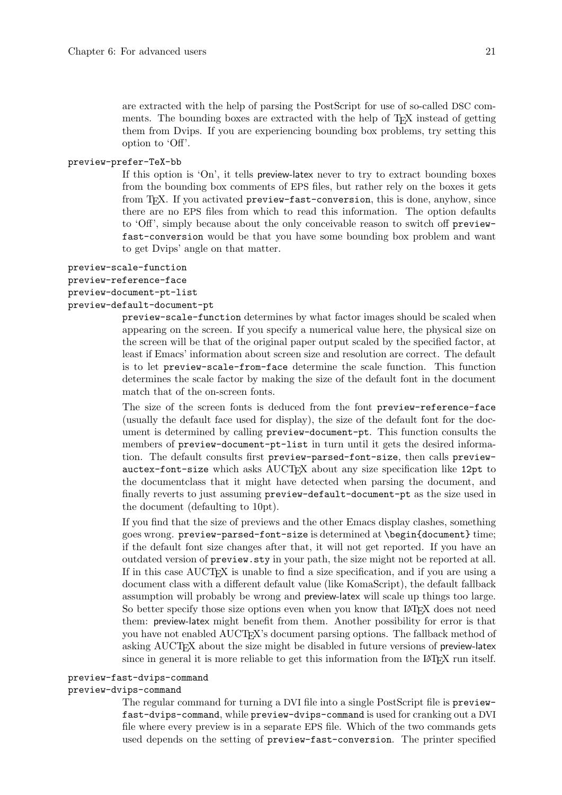<span id="page-26-0"></span>are extracted with the help of parsing the PostScript for use of so-called DSC comments. The bounding boxes are extracted with the help of T<sub>E</sub>X instead of getting them from Dvips. If you are experiencing bounding box problems, try setting this option to 'Off'.

#### preview-prefer-TeX-bb

If this option is 'On', it tells preview-latex never to try to extract bounding boxes from the bounding box comments of EPS files, but rather rely on the boxes it gets from T<sub>E</sub>X. If you activated preview-fast-conversion, this is done, anyhow, since there are no EPS files from which to read this information. The option defaults to 'Off', simply because about the only conceivable reason to switch off previewfast-conversion would be that you have some bounding box problem and want to get Dvips' angle on that matter.

#### preview-scale-function

## preview-reference-face

#### preview-document-pt-list preview-default-document-pt

preview-scale-function determines by what factor images should be scaled when appearing on the screen. If you specify a numerical value here, the physical size on the screen will be that of the original paper output scaled by the specified factor, at least if Emacs' information about screen size and resolution are correct. The default is to let preview-scale-from-face determine the scale function. This function determines the scale factor by making the size of the default font in the document match that of the on-screen fonts.

The size of the screen fonts is deduced from the font preview-reference-face (usually the default face used for display), the size of the default font for the document is determined by calling preview-document-pt. This function consults the members of preview-document-pt-list in turn until it gets the desired information. The default consults first preview-parsed-font-size, then calls previewauctex-font-size which asks AUCTEX about any size specification like 12pt to the documentclass that it might have detected when parsing the document, and finally reverts to just assuming preview-default-document-pt as the size used in the document (defaulting to 10pt).

If you find that the size of previews and the other Emacs display clashes, something goes wrong. preview-parsed-font-size is determined at \begin{document} time; if the default font size changes after that, it will not get reported. If you have an outdated version of preview.sty in your path, the size might not be reported at all. If in this case AUCTEX is unable to find a size specification, and if you are using a document class with a different default value (like KomaScript), the default fallback assumption will probably be wrong and preview-latex will scale up things too large. So better specify those size options even when you know that LAT<sub>EX</sub> does not need them: preview-latex might benefit from them. Another possibility for error is that you have not enabled AUCTEX's document parsing options. The fallback method of asking AUCT<sub>EX</sub> about the size might be disabled in future versions of preview-latex since in general it is more reliable to get this information from the  $I\llap{/}T_{\rm F}X$  run itself.

#### preview-fast-dvips-command

#### preview-dvips-command

The regular command for turning a DVI file into a single PostScript file is previewfast-dvips-command, while preview-dvips-command is used for cranking out a DVI file where every preview is in a separate EPS file. Which of the two commands gets used depends on the setting of preview-fast-conversion. The printer specified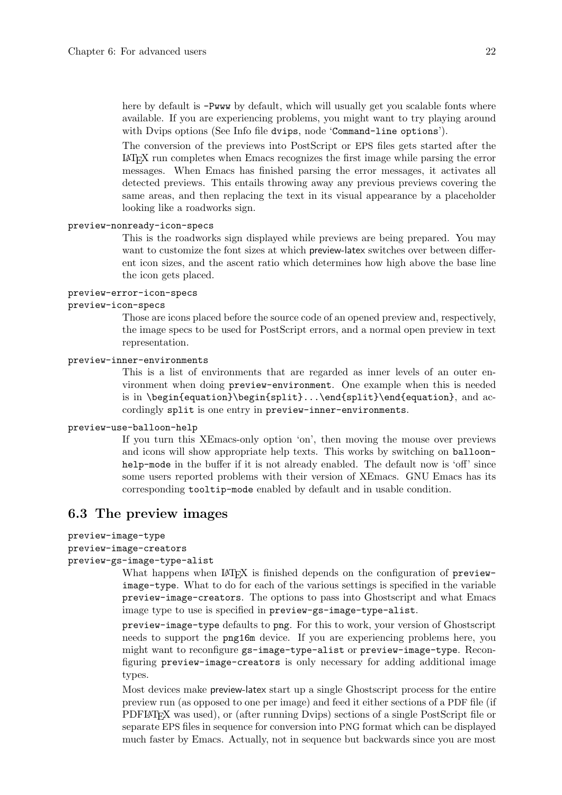<span id="page-27-0"></span>here by default is  $-Pwww$  by default, which will usually get you scalable fonts where available. If you are experiencing problems, you might want to try playing around with Dvips options (See Info file dvips, node 'Command-line options').

The conversion of the previews into PostScript or EPS files gets started after the <sup>L</sup>aTEX run completes when Emacs recognizes the first image while parsing the error messages. When Emacs has finished parsing the error messages, it activates all detected previews. This entails throwing away any previous previews covering the same areas, and then replacing the text in its visual appearance by a placeholder looking like a roadworks sign.

#### preview-nonready-icon-specs

This is the roadworks sign displayed while previews are being prepared. You may want to customize the font sizes at which preview-latex switches over between different icon sizes, and the ascent ratio which determines how high above the base line the icon gets placed.

#### preview-error-icon-specs

#### preview-icon-specs

Those are icons placed before the source code of an opened preview and, respectively, the image specs to be used for PostScript errors, and a normal open preview in text representation.

#### preview-inner-environments

This is a list of environments that are regarded as inner levels of an outer environment when doing preview-environment. One example when this is needed is in \begin{equation}\begin{split}...\end{split}\end{equation}, and accordingly split is one entry in preview-inner-environments.

#### preview-use-balloon-help

If you turn this XEmacs-only option 'on', then moving the mouse over previews and icons will show appropriate help texts. This works by switching on balloonhelp-mode in the buffer if it is not already enabled. The default now is 'off' since some users reported problems with their version of XEmacs. GNU Emacs has its corresponding tooltip-mode enabled by default and in usable condition.

### 6.3 The preview images

```
preview-image-type
```

```
preview-image-creators
```

```
preview-gs-image-type-alist
```
What happens when LAT<sub>EX</sub> is finished depends on the configuration of previewimage-type. What to do for each of the various settings is specified in the variable preview-image-creators. The options to pass into Ghostscript and what Emacs image type to use is specified in preview-gs-image-type-alist.

preview-image-type defaults to png. For this to work, your version of Ghostscript needs to support the png16m device. If you are experiencing problems here, you might want to reconfigure gs-image-type-alist or preview-image-type. Reconfiguring preview-image-creators is only necessary for adding additional image types.

Most devices make preview-latex start up a single Ghostscript process for the entire preview run (as opposed to one per image) and feed it either sections of a PDF file (if PDFLAT<sub>EX</sub> was used), or (after running Dvips) sections of a single PostScript file or separate EPS files in sequence for conversion into PNG format which can be displayed much faster by Emacs. Actually, not in sequence but backwards since you are most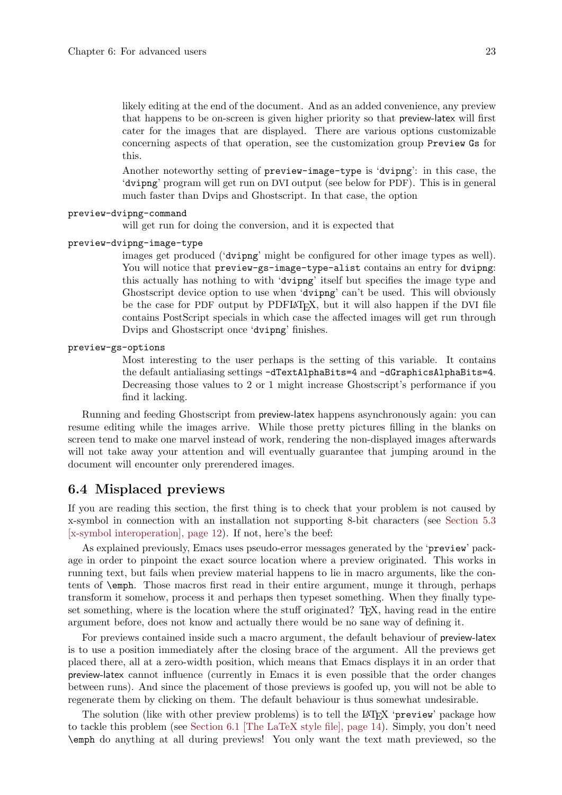<span id="page-28-0"></span>likely editing at the end of the document. And as an added convenience, any preview that happens to be on-screen is given higher priority so that preview-latex will first cater for the images that are displayed. There are various options customizable concerning aspects of that operation, see the customization group Preview Gs for this.

Another noteworthy setting of preview-image-type is 'dvipng': in this case, the 'dvipng' program will get run on DVI output (see below for PDF). This is in general much faster than Dvips and Ghostscript. In that case, the option

#### preview-dvipng-command

will get run for doing the conversion, and it is expected that

#### preview-dvipng-image-type

images get produced ('dvipng' might be configured for other image types as well). You will notice that preview-gs-image-type-alist contains an entry for dvipng: this actually has nothing to with 'dvipng' itself but specifies the image type and Ghostscript device option to use when 'dvipng' can't be used. This will obviously be the case for PDF output by PDFLAT<sub>F</sub>X, but it will also happen if the DVI file contains PostScript specials in which case the affected images will get run through Dvips and Ghostscript once 'dvipng' finishes.

#### preview-gs-options

Most interesting to the user perhaps is the setting of this variable. It contains the default antialiasing settings -dTextAlphaBits=4 and -dGraphicsAlphaBits=4. Decreasing those values to 2 or 1 might increase Ghostscript's performance if you find it lacking.

Running and feeding Ghostscript from preview-latex happens asynchronously again: you can resume editing while the images arrive. While those pretty pictures filling in the blanks on screen tend to make one marvel instead of work, rendering the non-displayed images afterwards will not take away your attention and will eventually guarantee that jumping around in the document will encounter only prerendered images.

### 6.4 Misplaced previews

If you are reading this section, the first thing is to check that your problem is not caused by x-symbol in connection with an installation not supporting 8-bit characters (see [Section 5.3](#page-17-1) [\[x-symbol interoperation\], page 12](#page-17-1)). If not, here's the beef:

As explained previously, Emacs uses pseudo-error messages generated by the 'preview' package in order to pinpoint the exact source location where a preview originated. This works in running text, but fails when preview material happens to lie in macro arguments, like the contents of \emph. Those macros first read in their entire argument, munge it through, perhaps transform it somehow, process it and perhaps then typeset something. When they finally typeset something, where is the location where the stuff originated? T<sub>F</sub>X, having read in the entire argument before, does not know and actually there would be no sane way of defining it.

For previews contained inside such a macro argument, the default behaviour of preview-latex is to use a position immediately after the closing brace of the argument. All the previews get placed there, all at a zero-width position, which means that Emacs displays it in an order that preview-latex cannot influence (currently in Emacs it is even possible that the order changes between runs). And since the placement of those previews is goofed up, you will not be able to regenerate them by clicking on them. The default behaviour is thus somewhat undesirable.

The solution (like with other preview problems) is to tell the LAT<sub>EX</sub> 'preview' package how to tackle this problem (see [Section 6.1 \[The LaTeX style file\], page 14](#page-19-2)). Simply, you don't need \emph do anything at all during previews! You only want the text math previewed, so the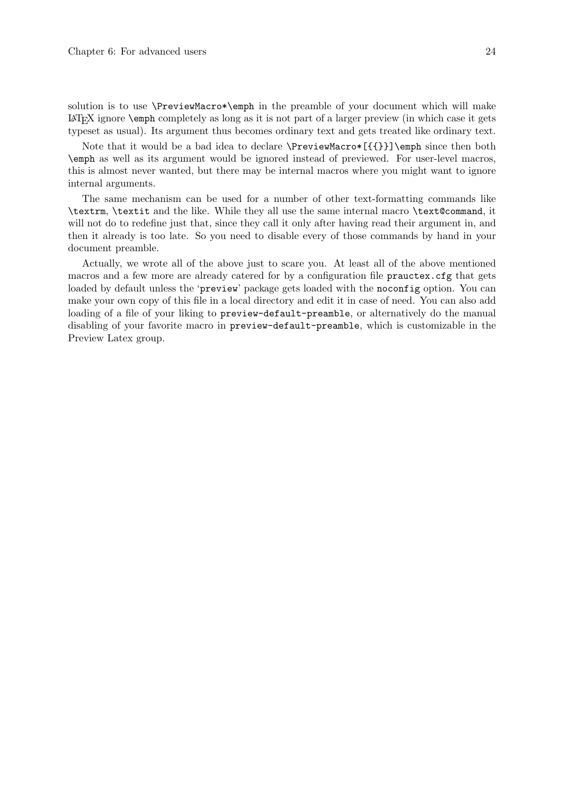<span id="page-29-0"></span>Note that it would be a bad idea to declare \PreviewMacro\*[{{}}]\emph since then both \emph as well as its argument would be ignored instead of previewed. For user-level macros, this is almost never wanted, but there may be internal macros where you might want to ignore internal arguments.

The same mechanism can be used for a number of other text-formatting commands like \textrm, \textit and the like. While they all use the same internal macro \text@command, it will not do to redefine just that, since they call it only after having read their argument in, and then it already is too late. So you need to disable every of those commands by hand in your document preamble.

Actually, we wrote all of the above just to scare you. At least all of the above mentioned macros and a few more are already catered for by a configuration file prauctex.cfg that gets loaded by default unless the 'preview' package gets loaded with the noconfig option. You can make your own copy of this file in a local directory and edit it in case of need. You can also add loading of a file of your liking to preview-default-preamble, or alternatively do the manual disabling of your favorite macro in preview-default-preamble, which is customizable in the Preview Latex group.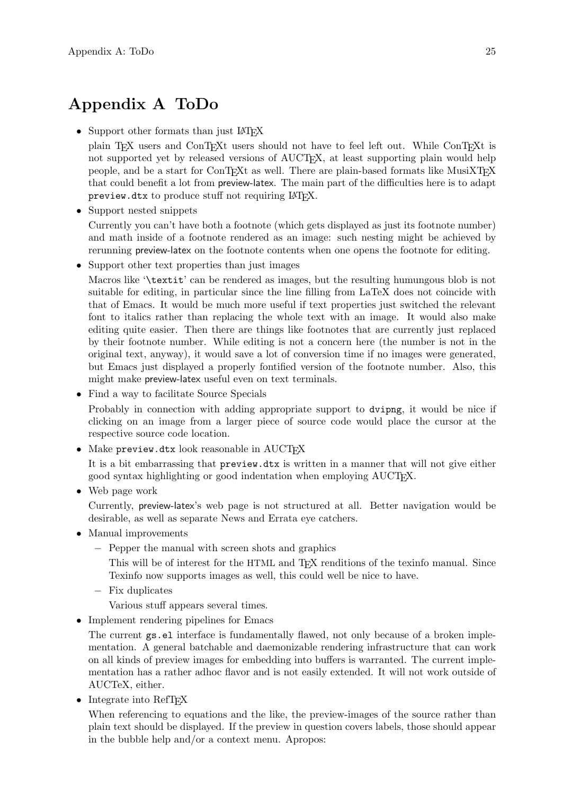## <span id="page-30-0"></span>Appendix A ToDo

- Support other formats than just LAT<sub>EX</sub>
	- plain T<sub>EX</sub> users and ConT<sub>EX</sub>t users should not have to feel left out. While ConT<sub>EXt</sub> is not supported yet by released versions of AUCT<sub>EX</sub>, at least supporting plain would help people, and be a start for ConTEXt as well. There are plain-based formats like MusiXTEX that could benefit a lot from preview-latex. The main part of the difficulties here is to adapt preview.dtx to produce stuff not requiring LAT<sub>EX</sub>.
- Support nested snippets

Currently you can't have both a footnote (which gets displayed as just its footnote number) and math inside of a footnote rendered as an image: such nesting might be achieved by rerunning preview-latex on the footnote contents when one opens the footnote for editing.

• Support other text properties than just images

Macros like '\textit' can be rendered as images, but the resulting humungous blob is not suitable for editing, in particular since the line filling from LaTeX does not coincide with that of Emacs. It would be much more useful if text properties just switched the relevant font to italics rather than replacing the whole text with an image. It would also make editing quite easier. Then there are things like footnotes that are currently just replaced by their footnote number. While editing is not a concern here (the number is not in the original text, anyway), it would save a lot of conversion time if no images were generated, but Emacs just displayed a properly fontified version of the footnote number. Also, this might make preview-latex useful even on text terminals.

• Find a way to facilitate Source Specials

Probably in connection with adding appropriate support to dvipng, it would be nice if clicking on an image from a larger piece of source code would place the cursor at the respective source code location.

• Make  $preview.txt$  look reasonable in  $AUCT$ <sub>F</sub>X

It is a bit embarrassing that preview.dtx is written in a manner that will not give either good syntax highlighting or good indentation when employing AUCT<sub>EX</sub>.

• Web page work

Currently, preview-latex's web page is not structured at all. Better navigation would be desirable, as well as separate News and Errata eye catchers.

- Manual improvements
	- − Pepper the manual with screen shots and graphics
		- This will be of interest for the HTML and T<sub>E</sub>X renditions of the texinfo manual. Since Texinfo now supports images as well, this could well be nice to have.
	- − Fix duplicates

Various stuff appears several times.

• Implement rendering pipelines for Emacs

The current gs.el interface is fundamentally flawed, not only because of a broken implementation. A general batchable and daemonizable rendering infrastructure that can work on all kinds of preview images for embedding into buffers is warranted. The current implementation has a rather adhoc flavor and is not easily extended. It will not work outside of AUCTeX, either.

• Integrate into RefT<sub>EX</sub>

When referencing to equations and the like, the preview-images of the source rather than plain text should be displayed. If the preview in question covers labels, those should appear in the bubble help and/or a context menu. Apropos: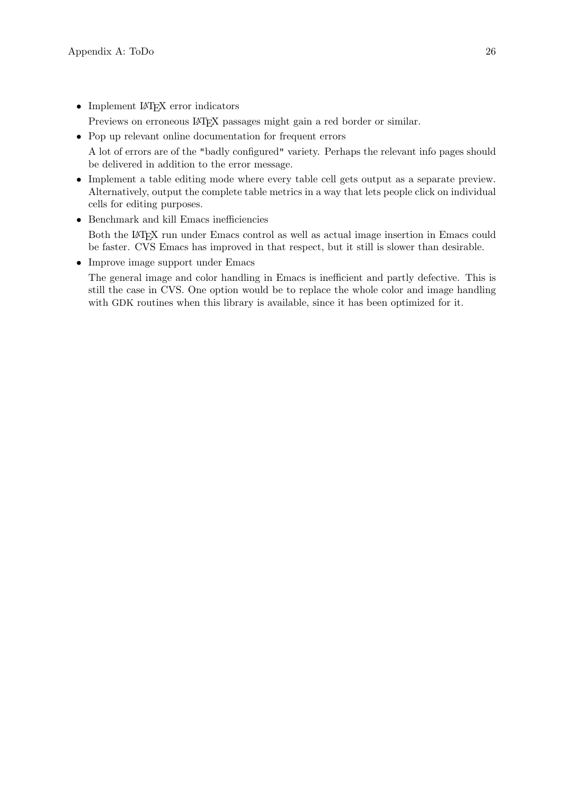- Implement IATEX error indicators Previews on erroneous LAT<sub>EX</sub> passages might gain a red border or similar.
- Pop up relevant online documentation for frequent errors A lot of errors are of the "badly configured" variety. Perhaps the relevant info pages should be delivered in addition to the error message.
- Implement a table editing mode where every table cell gets output as a separate preview. Alternatively, output the complete table metrics in a way that lets people click on individual cells for editing purposes.
- Benchmark and kill Emacs inefficiencies Both the LAT<sub>EX</sub> run under Emacs control as well as actual image insertion in Emacs could be faster. CVS Emacs has improved in that respect, but it still is slower than desirable.
- Improve image support under Emacs

The general image and color handling in Emacs is inefficient and partly defective. This is still the case in CVS. One option would be to replace the whole color and image handling with GDK routines when this library is available, since it has been optimized for it.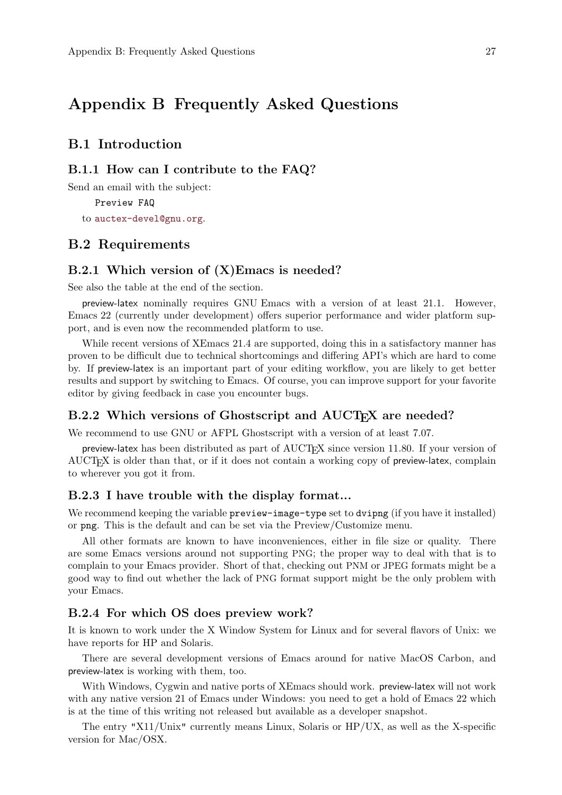## <span id="page-32-0"></span>Appendix B Frequently Asked Questions

### B.1 Introduction

#### B.1.1 How can I contribute to the FAQ?

Send an email with the subject:

Preview FAQ to [auctex-devel@gnu.org](mailto:auctex-devel@gnu.org).

### B.2 Requirements

#### B.2.1 Which version of (X)Emacs is needed?

See also the table at the end of the section.

preview-latex nominally requires GNU Emacs with a version of at least 21.1. However, Emacs 22 (currently under development) offers superior performance and wider platform support, and is even now the recommended platform to use.

While recent versions of XEmacs 21.4 are supported, doing this in a satisfactory manner has proven to be difficult due to technical shortcomings and differing API's which are hard to come by. If preview-latex is an important part of your editing workflow, you are likely to get better results and support by switching to Emacs. Of course, you can improve support for your favorite editor by giving feedback in case you encounter bugs.

### B.2.2 Which versions of Ghostscript and AUCT<sub>E</sub>X are needed?

We recommend to use GNU or AFPL Ghostscript with a version of at least 7.07.

preview-latex has been distributed as part of AUCT<sub>F</sub>X since version 11.80. If your version of AUCTEX is older than that, or if it does not contain a working copy of preview-latex, complain to wherever you got it from.

#### B.2.3 I have trouble with the display format...

We recommend keeping the variable preview-image-type set to dvipng (if you have it installed) or png. This is the default and can be set via the Preview/Customize menu.

All other formats are known to have inconveniences, either in file size or quality. There are some Emacs versions around not supporting PNG; the proper way to deal with that is to complain to your Emacs provider. Short of that, checking out PNM or JPEG formats might be a good way to find out whether the lack of PNG format support might be the only problem with your Emacs.

#### B.2.4 For which OS does preview work?

It is known to work under the X Window System for Linux and for several flavors of Unix: we have reports for HP and Solaris.

There are several development versions of Emacs around for native MacOS Carbon, and preview-latex is working with them, too.

With Windows, Cygwin and native ports of XEmacs should work. preview-latex will not work with any native version 21 of Emacs under Windows: you need to get a hold of Emacs 22 which is at the time of this writing not released but available as a developer snapshot.

The entry "X11/Unix" currently means Linux, Solaris or HP/UX, as well as the X-specific version for Mac/OSX.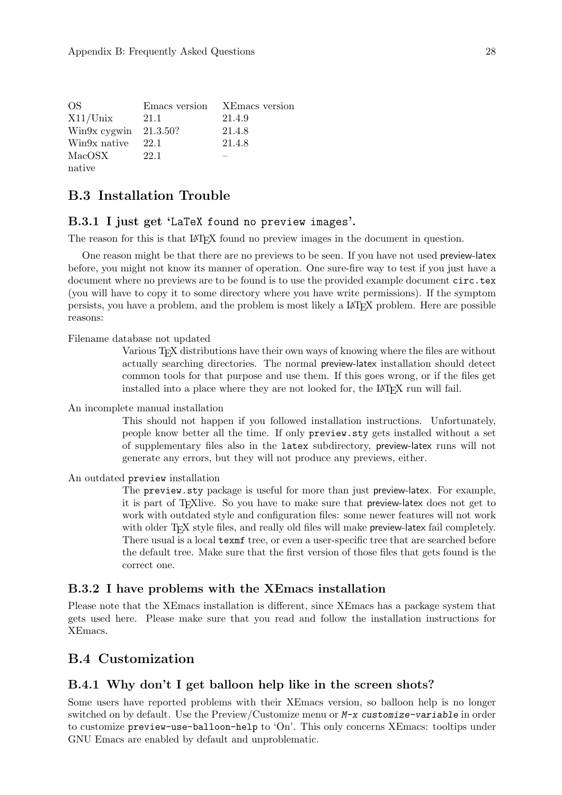<span id="page-33-0"></span>

| OS.                      |      | Emacs version XEmacs version |
|--------------------------|------|------------------------------|
| $X11/U$ nix              | 21.1 | 21.4.9                       |
| Win $9x$ cygwin 21.3.50? |      | 21.4.8                       |
| Win9x native             | 22.1 | 21.4.8                       |
| MacOSX                   | 22.1 |                              |
| native                   |      |                              |

## B.3 Installation Trouble

#### B.3.1 I just get 'LaTeX found no preview images'.

The reason for this is that LAT<sub>EX</sub> found no preview images in the document in question.

One reason might be that there are no previews to be seen. If you have not used preview-latex before, you might not know its manner of operation. One sure-fire way to test if you just have a document where no previews are to be found is to use the provided example document circ.tex (you will have to copy it to some directory where you have write permissions). If the symptom persists, you have a problem, and the problem is most likely a LAT<sub>E</sub>X problem. Here are possible reasons:

Filename database not updated

Various TEX distributions have their own ways of knowing where the files are without actually searching directories. The normal preview-latex installation should detect common tools for that purpose and use them. If this goes wrong, or if the files get installed into a place where they are not looked for, the LAT<sub>EX</sub> run will fail.

An incomplete manual installation

This should not happen if you followed installation instructions. Unfortunately, people know better all the time. If only preview.sty gets installed without a set of supplementary files also in the latex subdirectory, preview-latex runs will not generate any errors, but they will not produce any previews, either.

An outdated preview installation

The preview.sty package is useful for more than just preview-latex. For example, it is part of TEXlive. So you have to make sure that preview-latex does not get to work with outdated style and configuration files: some newer features will not work with older T<sub>F</sub>X style files, and really old files will make preview-latex fail completely. There usual is a local texmf tree, or even a user-specific tree that are searched before the default tree. Make sure that the first version of those files that gets found is the correct one.

#### B.3.2 I have problems with the XEmacs installation

Please note that the XEmacs installation is different, since XEmacs has a package system that gets used here. Please make sure that you read and follow the installation instructions for XEmacs.

## <span id="page-33-1"></span>B.4 Customization

#### B.4.1 Why don't I get balloon help like in the screen shots?

Some users have reported problems with their XEmacs version, so balloon help is no longer switched on by default. Use the Preview/Customize menu or M-x customize-variable in order to customize preview-use-balloon-help to 'On'. This only concerns XEmacs: tooltips under GNU Emacs are enabled by default and unproblematic.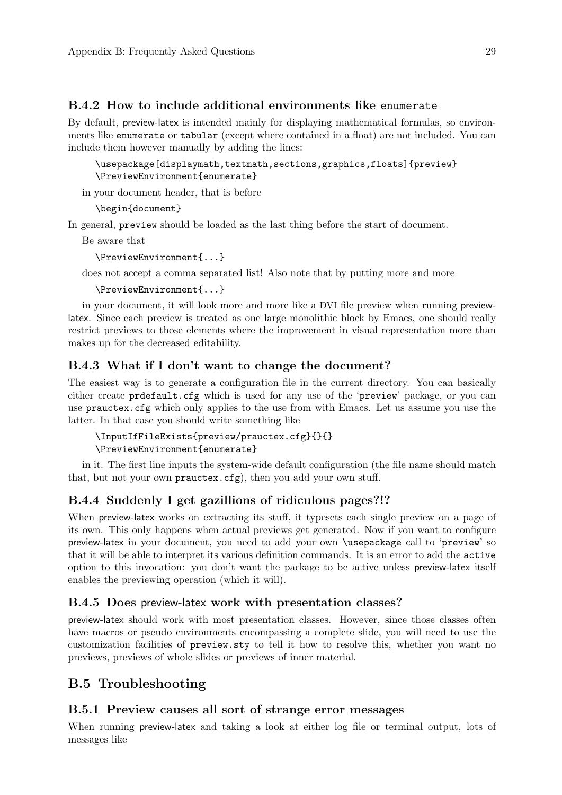### <span id="page-34-0"></span>B.4.2 How to include additional environments like enumerate

By default, preview-latex is intended mainly for displaying mathematical formulas, so environments like enumerate or tabular (except where contained in a float) are not included. You can include them however manually by adding the lines:

\usepackage[displaymath,textmath,sections,graphics,floats]{preview} \PreviewEnvironment{enumerate}

in your document header, that is before

```
\begin{document}
```
In general, preview should be loaded as the last thing before the start of document.

Be aware that

```
\PreviewEnvironment{...}
```
does not accept a comma separated list! Also note that by putting more and more

```
\PreviewEnvironment{...}
```
in your document, it will look more and more like a DVI file preview when running previewlatex. Since each preview is treated as one large monolithic block by Emacs, one should really restrict previews to those elements where the improvement in visual representation more than makes up for the decreased editability.

#### B.4.3 What if I don't want to change the document?

The easiest way is to generate a configuration file in the current directory. You can basically either create prdefault.cfg which is used for any use of the 'preview' package, or you can use prauctex.cfg which only applies to the use from with Emacs. Let us assume you use the latter. In that case you should write something like

```
\InputIfFileExists{preview/prauctex.cfg}{}{}
\PreviewEnvironment{enumerate}
```
in it. The first line inputs the system-wide default configuration (the file name should match that, but not your own prauctex.cfg), then you add your own stuff.

### B.4.4 Suddenly I get gazillions of ridiculous pages?!?

When preview-latex works on extracting its stuff, it typesets each single preview on a page of its own. This only happens when actual previews get generated. Now if you want to configure preview-latex in your document, you need to add your own \usepackage call to 'preview' so that it will be able to interpret its various definition commands. It is an error to add the active option to this invocation: you don't want the package to be active unless preview-latex itself enables the previewing operation (which it will).

#### B.4.5 Does preview-latex work with presentation classes?

preview-latex should work with most presentation classes. However, since those classes often have macros or pseudo environments encompassing a complete slide, you will need to use the customization facilities of preview.sty to tell it how to resolve this, whether you want no previews, previews of whole slides or previews of inner material.

## B.5 Troubleshooting

#### B.5.1 Preview causes all sort of strange error messages

When running preview-latex and taking a look at either log file or terminal output, lots of messages like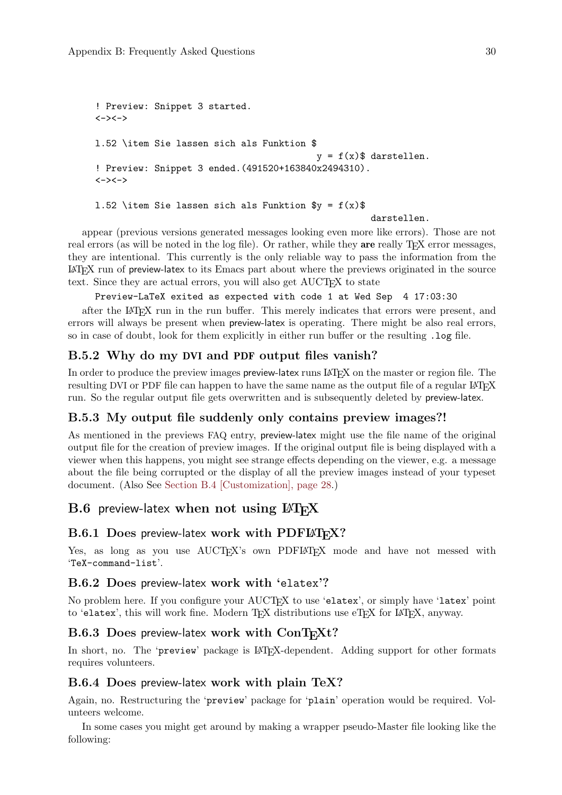```
! Preview: Snippet 3 started.
\left\langle \rightarrow \right\rangle \left\langle \rightarrow \right\ranglel.52 \item Sie lassen sich als Funktion $
                                                      y = f(x)$ darstellen.
! Preview: Snippet 3 ended.(491520+163840x2494310).
<-><->
1.52 \item Sie lassen sich als Funktion y = f(x)darstellen.
```
appear (previous versions generated messages looking even more like errors). Those are not

real errors (as will be noted in the log file). Or rather, while they are really T<sub>E</sub>X error messages, they are intentional. This currently is the only reliable way to pass the information from the <sup>L</sup>aTEX run of preview-latex to its Emacs part about where the previews originated in the source text. Since they are actual errors, you will also get AUCT<sub>F</sub>X to state

Preview-LaTeX exited as expected with code 1 at Wed Sep 4 17:03:30

after the LaTEX run in the run buffer. This merely indicates that errors were present, and errors will always be present when preview-latex is operating. There might be also real errors, so in case of doubt, look for them explicitly in either run buffer or the resulting .log file.

### B.5.2 Why do my DVI and PDF output files vanish?

In order to produce the preview images preview-latex runs LAT<sub>EX</sub> on the master or region file. The resulting DVI or PDF file can happen to have the same name as the output file of a regular LATEX run. So the regular output file gets overwritten and is subsequently deleted by preview-latex.

## B.5.3 My output file suddenly only contains preview images?!

As mentioned in the previews FAQ entry, preview-latex might use the file name of the original output file for the creation of preview images. If the original output file is being displayed with a viewer when this happens, you might see strange effects depending on the viewer, e.g. a message about the file being corrupted or the display of all the preview images instead of your typeset document. (Also See [Section B.4 \[Customization\], page 28](#page-33-1).)

## $B.6$  preview-latex when not using  $\mu$ T<sub>F</sub>X

#### B.6.1 Does preview-latex work with PDFLATEX?

Yes, as long as you use AUCTEX's own PDFIATEX mode and have not messed with 'TeX-command-list'.

### B.6.2 Does preview-latex work with 'elatex'?

No problem here. If you configure your AUCTEX to use 'elatex', or simply have 'latex' point to 'elatex', this will work fine. Modern TEX distributions use eTEX for LATEX, anyway.

### B.6.3 Does preview-latex work with ConTEXt?

In short, no. The 'preview' package is IAT<sub>EX</sub>-dependent. Adding support for other formats requires volunteers.

### B.6.4 Does preview-latex work with plain TeX?

Again, no. Restructuring the 'preview' package for 'plain' operation would be required. Volunteers welcome.

In some cases you might get around by making a wrapper pseudo-Master file looking like the following: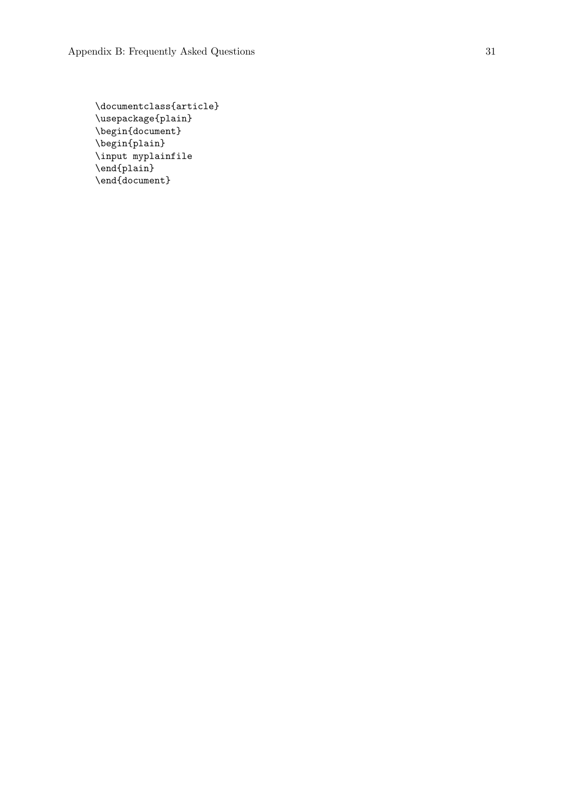```
\documentclass{article}
\usepackage{plain}
\begin{document}
\begin{plain}
\input myplainfile
\end{plain}
\end{document}
```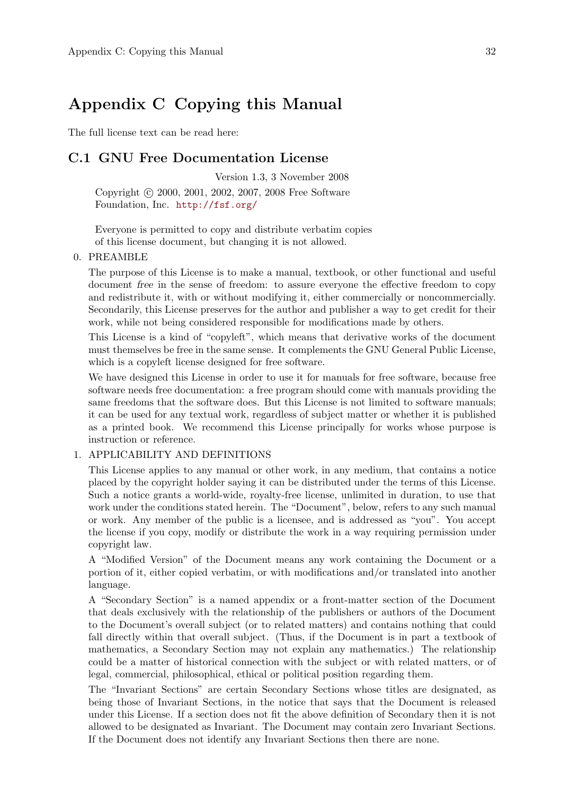## <span id="page-37-0"></span>Appendix C Copying this Manual

The full license text can be read here:

### C.1 GNU Free Documentation License

Version 1.3, 3 November 2008 Copyright © 2000, 2001, 2002, 2007, 2008 Free Software Foundation, Inc. <http://fsf.org/>

Everyone is permitted to copy and distribute verbatim copies of this license document, but changing it is not allowed.

#### 0. PREAMBLE

The purpose of this License is to make a manual, textbook, or other functional and useful document free in the sense of freedom: to assure everyone the effective freedom to copy and redistribute it, with or without modifying it, either commercially or noncommercially. Secondarily, this License preserves for the author and publisher a way to get credit for their work, while not being considered responsible for modifications made by others.

This License is a kind of "copyleft", which means that derivative works of the document must themselves be free in the same sense. It complements the GNU General Public License, which is a copyleft license designed for free software.

We have designed this License in order to use it for manuals for free software, because free software needs free documentation: a free program should come with manuals providing the same freedoms that the software does. But this License is not limited to software manuals; it can be used for any textual work, regardless of subject matter or whether it is published as a printed book. We recommend this License principally for works whose purpose is instruction or reference.

#### 1. APPLICABILITY AND DEFINITIONS

This License applies to any manual or other work, in any medium, that contains a notice placed by the copyright holder saying it can be distributed under the terms of this License. Such a notice grants a world-wide, royalty-free license, unlimited in duration, to use that work under the conditions stated herein. The "Document", below, refers to any such manual or work. Any member of the public is a licensee, and is addressed as "you". You accept the license if you copy, modify or distribute the work in a way requiring permission under copyright law.

A "Modified Version" of the Document means any work containing the Document or a portion of it, either copied verbatim, or with modifications and/or translated into another language.

A "Secondary Section" is a named appendix or a front-matter section of the Document that deals exclusively with the relationship of the publishers or authors of the Document to the Document's overall subject (or to related matters) and contains nothing that could fall directly within that overall subject. (Thus, if the Document is in part a textbook of mathematics, a Secondary Section may not explain any mathematics.) The relationship could be a matter of historical connection with the subject or with related matters, or of legal, commercial, philosophical, ethical or political position regarding them.

The "Invariant Sections" are certain Secondary Sections whose titles are designated, as being those of Invariant Sections, in the notice that says that the Document is released under this License. If a section does not fit the above definition of Secondary then it is not allowed to be designated as Invariant. The Document may contain zero Invariant Sections. If the Document does not identify any Invariant Sections then there are none.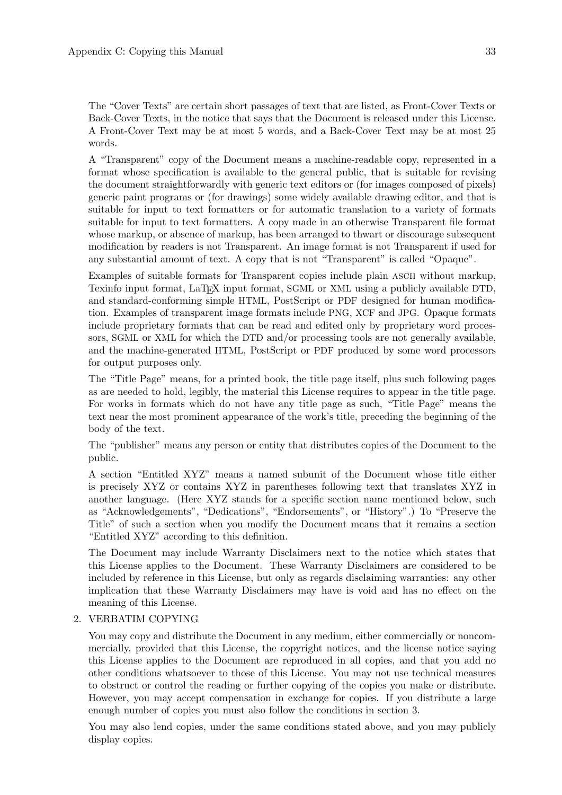The "Cover Texts" are certain short passages of text that are listed, as Front-Cover Texts or Back-Cover Texts, in the notice that says that the Document is released under this License. A Front-Cover Text may be at most 5 words, and a Back-Cover Text may be at most 25 words.

A "Transparent" copy of the Document means a machine-readable copy, represented in a format whose specification is available to the general public, that is suitable for revising the document straightforwardly with generic text editors or (for images composed of pixels) generic paint programs or (for drawings) some widely available drawing editor, and that is suitable for input to text formatters or for automatic translation to a variety of formats suitable for input to text formatters. A copy made in an otherwise Transparent file format whose markup, or absence of markup, has been arranged to thwart or discourage subsequent modification by readers is not Transparent. An image format is not Transparent if used for any substantial amount of text. A copy that is not "Transparent" is called "Opaque".

Examples of suitable formats for Transparent copies include plain ascii without markup, Texinfo input format, LaTEX input format, SGML or XML using a publicly available DTD, and standard-conforming simple HTML, PostScript or PDF designed for human modification. Examples of transparent image formats include PNG, XCF and JPG. Opaque formats include proprietary formats that can be read and edited only by proprietary word processors, SGML or XML for which the DTD and/or processing tools are not generally available, and the machine-generated HTML, PostScript or PDF produced by some word processors for output purposes only.

The "Title Page" means, for a printed book, the title page itself, plus such following pages as are needed to hold, legibly, the material this License requires to appear in the title page. For works in formats which do not have any title page as such, "Title Page" means the text near the most prominent appearance of the work's title, preceding the beginning of the body of the text.

The "publisher" means any person or entity that distributes copies of the Document to the public.

A section "Entitled XYZ" means a named subunit of the Document whose title either is precisely XYZ or contains XYZ in parentheses following text that translates XYZ in another language. (Here XYZ stands for a specific section name mentioned below, such as "Acknowledgements", "Dedications", "Endorsements", or "History".) To "Preserve the Title" of such a section when you modify the Document means that it remains a section "Entitled XYZ" according to this definition.

The Document may include Warranty Disclaimers next to the notice which states that this License applies to the Document. These Warranty Disclaimers are considered to be included by reference in this License, but only as regards disclaiming warranties: any other implication that these Warranty Disclaimers may have is void and has no effect on the meaning of this License.

#### 2. VERBATIM COPYING

You may copy and distribute the Document in any medium, either commercially or noncommercially, provided that this License, the copyright notices, and the license notice saying this License applies to the Document are reproduced in all copies, and that you add no other conditions whatsoever to those of this License. You may not use technical measures to obstruct or control the reading or further copying of the copies you make or distribute. However, you may accept compensation in exchange for copies. If you distribute a large enough number of copies you must also follow the conditions in section 3.

You may also lend copies, under the same conditions stated above, and you may publicly display copies.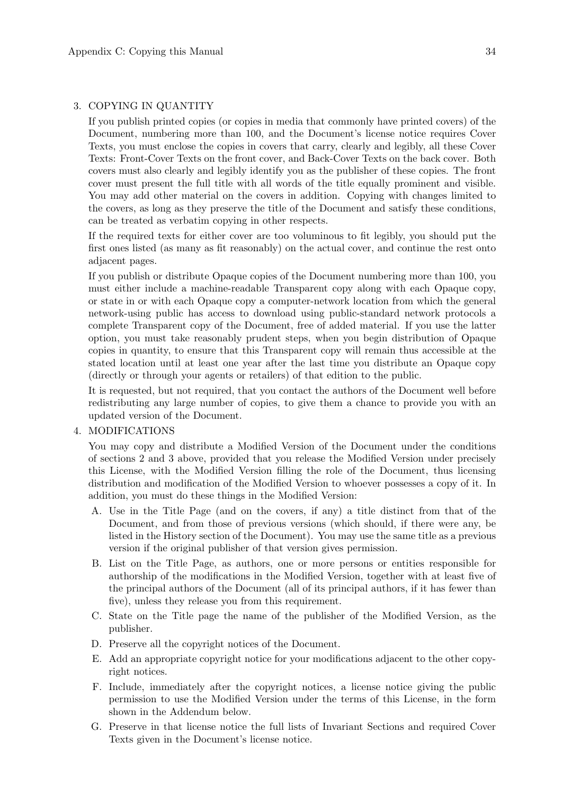#### 3. COPYING IN QUANTITY

If you publish printed copies (or copies in media that commonly have printed covers) of the Document, numbering more than 100, and the Document's license notice requires Cover Texts, you must enclose the copies in covers that carry, clearly and legibly, all these Cover Texts: Front-Cover Texts on the front cover, and Back-Cover Texts on the back cover. Both covers must also clearly and legibly identify you as the publisher of these copies. The front cover must present the full title with all words of the title equally prominent and visible. You may add other material on the covers in addition. Copying with changes limited to the covers, as long as they preserve the title of the Document and satisfy these conditions, can be treated as verbatim copying in other respects.

If the required texts for either cover are too voluminous to fit legibly, you should put the first ones listed (as many as fit reasonably) on the actual cover, and continue the rest onto adjacent pages.

If you publish or distribute Opaque copies of the Document numbering more than 100, you must either include a machine-readable Transparent copy along with each Opaque copy, or state in or with each Opaque copy a computer-network location from which the general network-using public has access to download using public-standard network protocols a complete Transparent copy of the Document, free of added material. If you use the latter option, you must take reasonably prudent steps, when you begin distribution of Opaque copies in quantity, to ensure that this Transparent copy will remain thus accessible at the stated location until at least one year after the last time you distribute an Opaque copy (directly or through your agents or retailers) of that edition to the public.

It is requested, but not required, that you contact the authors of the Document well before redistributing any large number of copies, to give them a chance to provide you with an updated version of the Document.

#### 4. MODIFICATIONS

You may copy and distribute a Modified Version of the Document under the conditions of sections 2 and 3 above, provided that you release the Modified Version under precisely this License, with the Modified Version filling the role of the Document, thus licensing distribution and modification of the Modified Version to whoever possesses a copy of it. In addition, you must do these things in the Modified Version:

- A. Use in the Title Page (and on the covers, if any) a title distinct from that of the Document, and from those of previous versions (which should, if there were any, be listed in the History section of the Document). You may use the same title as a previous version if the original publisher of that version gives permission.
- B. List on the Title Page, as authors, one or more persons or entities responsible for authorship of the modifications in the Modified Version, together with at least five of the principal authors of the Document (all of its principal authors, if it has fewer than five), unless they release you from this requirement.
- C. State on the Title page the name of the publisher of the Modified Version, as the publisher.
- D. Preserve all the copyright notices of the Document.
- E. Add an appropriate copyright notice for your modifications adjacent to the other copyright notices.
- F. Include, immediately after the copyright notices, a license notice giving the public permission to use the Modified Version under the terms of this License, in the form shown in the Addendum below.
- G. Preserve in that license notice the full lists of Invariant Sections and required Cover Texts given in the Document's license notice.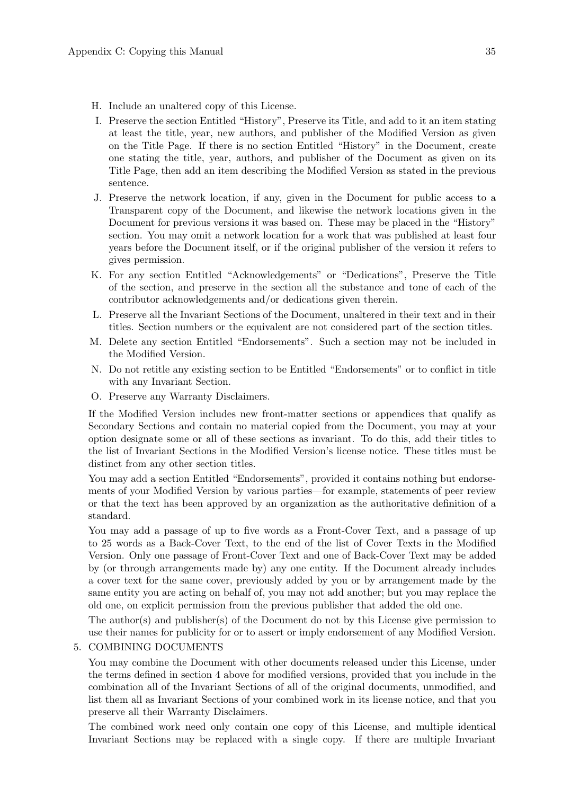- H. Include an unaltered copy of this License.
- I. Preserve the section Entitled "History", Preserve its Title, and add to it an item stating at least the title, year, new authors, and publisher of the Modified Version as given on the Title Page. If there is no section Entitled "History" in the Document, create one stating the title, year, authors, and publisher of the Document as given on its Title Page, then add an item describing the Modified Version as stated in the previous sentence.
- J. Preserve the network location, if any, given in the Document for public access to a Transparent copy of the Document, and likewise the network locations given in the Document for previous versions it was based on. These may be placed in the "History" section. You may omit a network location for a work that was published at least four years before the Document itself, or if the original publisher of the version it refers to gives permission.
- K. For any section Entitled "Acknowledgements" or "Dedications", Preserve the Title of the section, and preserve in the section all the substance and tone of each of the contributor acknowledgements and/or dedications given therein.
- L. Preserve all the Invariant Sections of the Document, unaltered in their text and in their titles. Section numbers or the equivalent are not considered part of the section titles.
- M. Delete any section Entitled "Endorsements". Such a section may not be included in the Modified Version.
- N. Do not retitle any existing section to be Entitled "Endorsements" or to conflict in title with any Invariant Section.
- O. Preserve any Warranty Disclaimers.

If the Modified Version includes new front-matter sections or appendices that qualify as Secondary Sections and contain no material copied from the Document, you may at your option designate some or all of these sections as invariant. To do this, add their titles to the list of Invariant Sections in the Modified Version's license notice. These titles must be distinct from any other section titles.

You may add a section Entitled "Endorsements", provided it contains nothing but endorsements of your Modified Version by various parties—for example, statements of peer review or that the text has been approved by an organization as the authoritative definition of a standard.

You may add a passage of up to five words as a Front-Cover Text, and a passage of up to 25 words as a Back-Cover Text, to the end of the list of Cover Texts in the Modified Version. Only one passage of Front-Cover Text and one of Back-Cover Text may be added by (or through arrangements made by) any one entity. If the Document already includes a cover text for the same cover, previously added by you or by arrangement made by the same entity you are acting on behalf of, you may not add another; but you may replace the old one, on explicit permission from the previous publisher that added the old one.

The author(s) and publisher(s) of the Document do not by this License give permission to use their names for publicity for or to assert or imply endorsement of any Modified Version.

#### 5. COMBINING DOCUMENTS

You may combine the Document with other documents released under this License, under the terms defined in section 4 above for modified versions, provided that you include in the combination all of the Invariant Sections of all of the original documents, unmodified, and list them all as Invariant Sections of your combined work in its license notice, and that you preserve all their Warranty Disclaimers.

The combined work need only contain one copy of this License, and multiple identical Invariant Sections may be replaced with a single copy. If there are multiple Invariant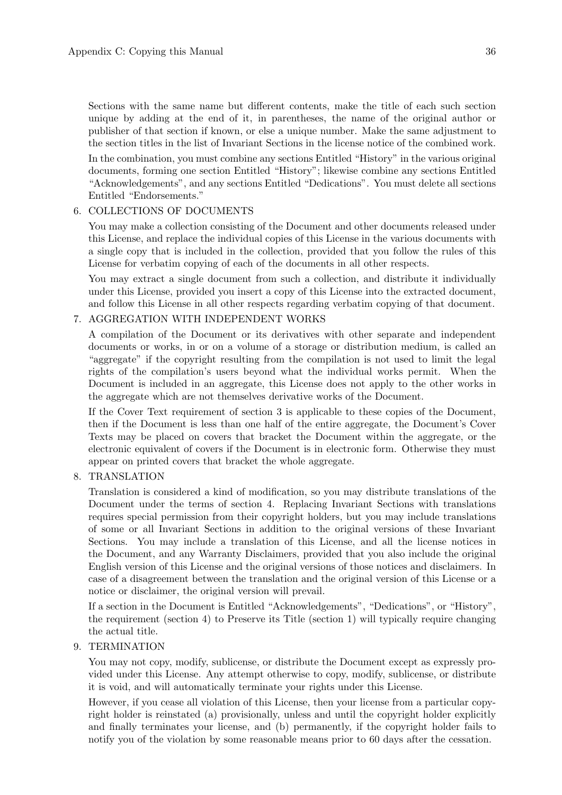Sections with the same name but different contents, make the title of each such section unique by adding at the end of it, in parentheses, the name of the original author or publisher of that section if known, or else a unique number. Make the same adjustment to the section titles in the list of Invariant Sections in the license notice of the combined work.

In the combination, you must combine any sections Entitled "History" in the various original documents, forming one section Entitled "History"; likewise combine any sections Entitled "Acknowledgements", and any sections Entitled "Dedications". You must delete all sections Entitled "Endorsements."

#### 6. COLLECTIONS OF DOCUMENTS

You may make a collection consisting of the Document and other documents released under this License, and replace the individual copies of this License in the various documents with a single copy that is included in the collection, provided that you follow the rules of this License for verbatim copying of each of the documents in all other respects.

You may extract a single document from such a collection, and distribute it individually under this License, provided you insert a copy of this License into the extracted document, and follow this License in all other respects regarding verbatim copying of that document.

### 7. AGGREGATION WITH INDEPENDENT WORKS

A compilation of the Document or its derivatives with other separate and independent documents or works, in or on a volume of a storage or distribution medium, is called an "aggregate" if the copyright resulting from the compilation is not used to limit the legal rights of the compilation's users beyond what the individual works permit. When the Document is included in an aggregate, this License does not apply to the other works in the aggregate which are not themselves derivative works of the Document.

If the Cover Text requirement of section 3 is applicable to these copies of the Document, then if the Document is less than one half of the entire aggregate, the Document's Cover Texts may be placed on covers that bracket the Document within the aggregate, or the electronic equivalent of covers if the Document is in electronic form. Otherwise they must appear on printed covers that bracket the whole aggregate.

#### 8. TRANSLATION

Translation is considered a kind of modification, so you may distribute translations of the Document under the terms of section 4. Replacing Invariant Sections with translations requires special permission from their copyright holders, but you may include translations of some or all Invariant Sections in addition to the original versions of these Invariant Sections. You may include a translation of this License, and all the license notices in the Document, and any Warranty Disclaimers, provided that you also include the original English version of this License and the original versions of those notices and disclaimers. In case of a disagreement between the translation and the original version of this License or a notice or disclaimer, the original version will prevail.

If a section in the Document is Entitled "Acknowledgements", "Dedications", or "History", the requirement (section 4) to Preserve its Title (section 1) will typically require changing the actual title.

#### 9. TERMINATION

You may not copy, modify, sublicense, or distribute the Document except as expressly provided under this License. Any attempt otherwise to copy, modify, sublicense, or distribute it is void, and will automatically terminate your rights under this License.

However, if you cease all violation of this License, then your license from a particular copyright holder is reinstated (a) provisionally, unless and until the copyright holder explicitly and finally terminates your license, and (b) permanently, if the copyright holder fails to notify you of the violation by some reasonable means prior to 60 days after the cessation.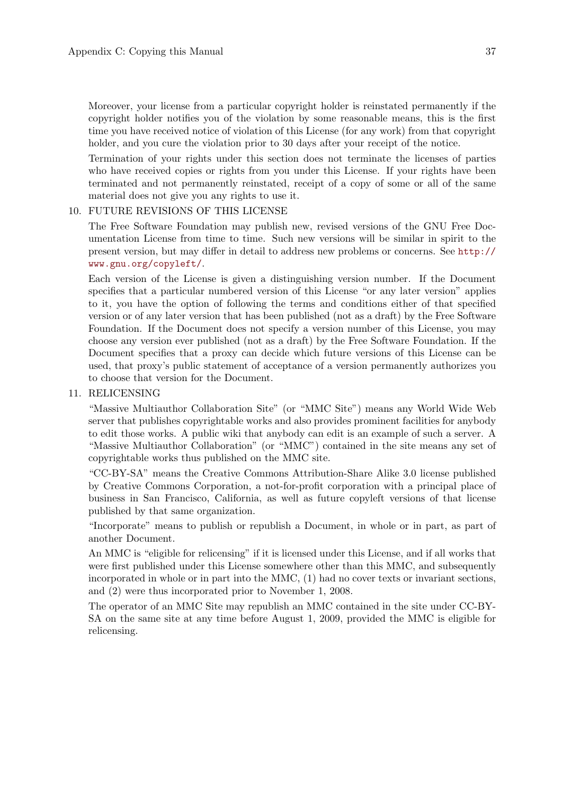Moreover, your license from a particular copyright holder is reinstated permanently if the copyright holder notifies you of the violation by some reasonable means, this is the first time you have received notice of violation of this License (for any work) from that copyright holder, and you cure the violation prior to 30 days after your receipt of the notice.

Termination of your rights under this section does not terminate the licenses of parties who have received copies or rights from you under this License. If your rights have been terminated and not permanently reinstated, receipt of a copy of some or all of the same material does not give you any rights to use it.

#### 10. FUTURE REVISIONS OF THIS LICENSE

The Free Software Foundation may publish new, revised versions of the GNU Free Documentation License from time to time. Such new versions will be similar in spirit to the present version, but may differ in detail to address new problems or concerns. See [http://](http://www.gnu.org/copyleft/) [www.gnu.org/copyleft/](http://www.gnu.org/copyleft/).

Each version of the License is given a distinguishing version number. If the Document specifies that a particular numbered version of this License "or any later version" applies to it, you have the option of following the terms and conditions either of that specified version or of any later version that has been published (not as a draft) by the Free Software Foundation. If the Document does not specify a version number of this License, you may choose any version ever published (not as a draft) by the Free Software Foundation. If the Document specifies that a proxy can decide which future versions of this License can be used, that proxy's public statement of acceptance of a version permanently authorizes you to choose that version for the Document.

#### 11. RELICENSING

"Massive Multiauthor Collaboration Site" (or "MMC Site") means any World Wide Web server that publishes copyrightable works and also provides prominent facilities for anybody to edit those works. A public wiki that anybody can edit is an example of such a server. A "Massive Multiauthor Collaboration" (or "MMC") contained in the site means any set of copyrightable works thus published on the MMC site.

"CC-BY-SA" means the Creative Commons Attribution-Share Alike 3.0 license published by Creative Commons Corporation, a not-for-profit corporation with a principal place of business in San Francisco, California, as well as future copyleft versions of that license published by that same organization.

"Incorporate" means to publish or republish a Document, in whole or in part, as part of another Document.

An MMC is "eligible for relicensing" if it is licensed under this License, and if all works that were first published under this License somewhere other than this MMC, and subsequently incorporated in whole or in part into the MMC, (1) had no cover texts or invariant sections, and (2) were thus incorporated prior to November 1, 2008.

The operator of an MMC Site may republish an MMC contained in the site under CC-BY-SA on the same site at any time before August 1, 2009, provided the MMC is eligible for relicensing.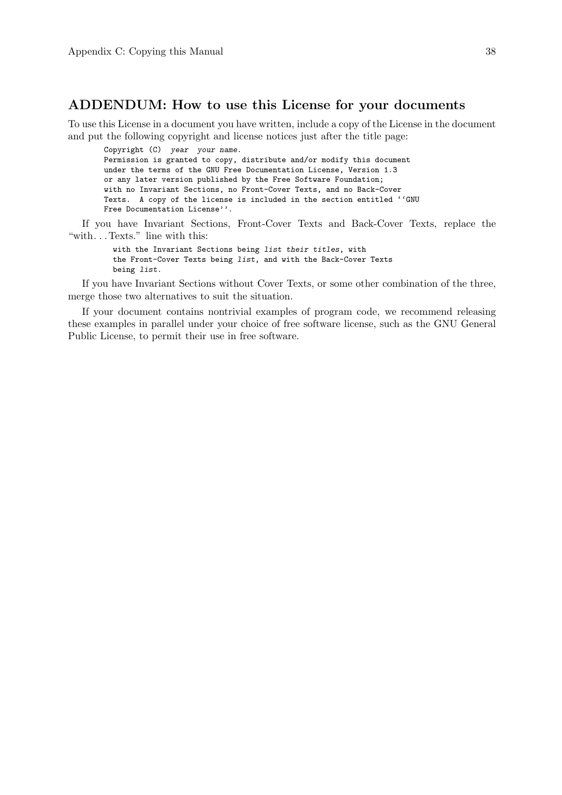### ADDENDUM: How to use this License for your documents

To use this License in a document you have written, include a copy of the License in the document and put the following copyright and license notices just after the title page:

Copyright (C) year your name. Permission is granted to copy, distribute and/or modify this document under the terms of the GNU Free Documentation License, Version 1.3 or any later version published by the Free Software Foundation; with no Invariant Sections, no Front-Cover Texts, and no Back-Cover Texts. A copy of the license is included in the section entitled ''GNU Free Documentation License''.

If you have Invariant Sections, Front-Cover Texts and Back-Cover Texts, replace the "with. . . Texts." line with this:

> with the Invariant Sections being list their titles, with the Front-Cover Texts being list, and with the Back-Cover Texts being list.

If you have Invariant Sections without Cover Texts, or some other combination of the three, merge those two alternatives to suit the situation.

If your document contains nontrivial examples of program code, we recommend releasing these examples in parallel under your choice of free software license, such as the GNU General Public License, to permit their use in free software.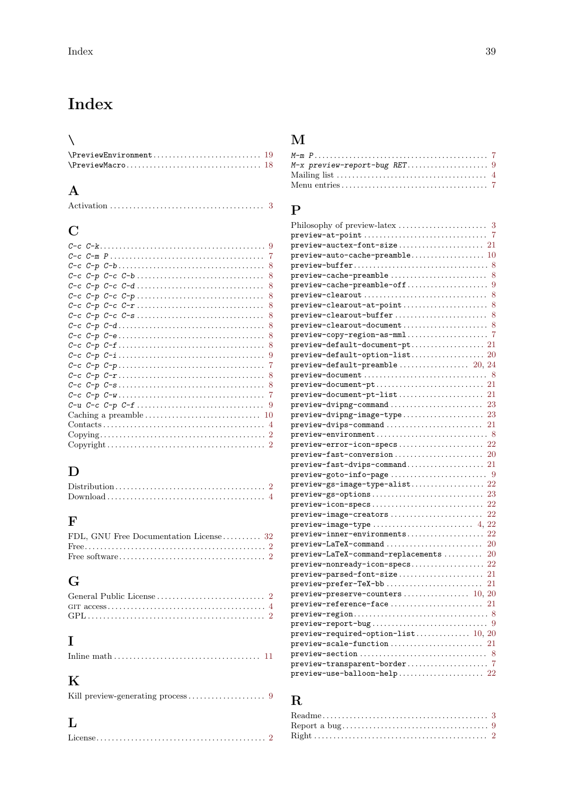# <span id="page-44-0"></span>Index

## $\bar{\sqrt{2}}$

| $\mathbf{v}$ |  |
|--------------|--|
|              |  |
|              |  |

## A

|--|--|--|--|--|--|

## C

| 8 |  |
|---|--|
| 8 |  |
| 8 |  |
| 8 |  |
| 8 |  |
| 8 |  |
|   |  |
| 8 |  |
|   |  |
|   |  |
|   |  |
|   |  |
|   |  |
|   |  |
|   |  |
|   |  |
|   |  |
|   |  |
|   |  |

## D

## F

| FDL, GNU Free Documentation License  32 |  |
|-----------------------------------------|--|
|                                         |  |
|                                         |  |

## G

## I

|--|

## K

|--|--|

## $\mathbf{L}$

## M

## P

| $preview-at-point \dots \dots \dots \dots \dots \dots \dots \dots \dots \ 7$                          |    |
|-------------------------------------------------------------------------------------------------------|----|
| $preview \texttt{-auctex-font-size} \dots \dots \dots \dots \dots \dots 21$                           |    |
| $\verb preview-auto-cache-preamble10$                                                                 |    |
| $\verb preview-buffer8 $                                                                              |    |
|                                                                                                       | 8  |
|                                                                                                       |    |
|                                                                                                       | 8  |
| $\verb previous-clearout-at-point\ldots\ldots\ldots\ldots\ldots\ldots\ldots$                          | 8  |
| $\label{eq:1} \texttt{preview-clearout-buffer}\ \dots\dots\dots\dots\dots\dots\dots\dots \dots \dots$ | 8  |
| $preview\text{-}clearout\text{-}document \dots \dots \dots \dots \dots \dots$ 8                       |    |
|                                                                                                       |    |
| $\verb previous-default-downent-pt .\dots\dots\dots\dots\dots\ 21$                                    |    |
| $\texttt{preview-default-option-list}.\dots.\dots.\dots.\dots.\dots.\ 20$                             |    |
| $\texttt{preview-default-preamble}\ \dots\dots\dots\dots\dots\dots \ 20,\ 24$                         |    |
| $preview-document \ldots \ldots \ldots \ldots \ldots \ldots \ldots \ldots \ldots \quad 8$             |    |
| $preview-document-pt \ldots \ldots \ldots \ldots \ldots \ldots \ldots \ldots 21$                      |    |
|                                                                                                       |    |
| $preview-divipng-command$ 23                                                                          |    |
| $\verb previous-dvippg-image-type\ldots\ldots\ldots\ldots\ldots\hspace*{0.1in} 23$                    |    |
| $preview-dvips-command$ 21                                                                            |    |
| $\verb previous-environment  \dots \dots \dots \dots \dots \dots \dots \dots \dots \dots \ 8$         |    |
| $\verb preview-error-icon-specs  \dots \dots \dots \dots \dots \dots \dots \dots$                     | 22 |
|                                                                                                       |    |
| $preview\text{-}fast\text{-}divips\text{-}command \dots \dots \dots \dots 21$                         |    |
| $preview-goto-info-page \dots \dots \dots \dots \dots \dots \dots$                                    |    |
|                                                                                                       |    |
| $\verb previous-gs-options .\dots.\dots.\dots.\dots.\dots.\dots\dots$                                 | 23 |
| $preview\text{-}icon\text{-}species \dots \dots \dots \dots \dots \dots \dots \dots$                  | 22 |
|                                                                                                       | 22 |
|                                                                                                       |    |
| $preview\text{-inner-environments}\dots\dots\dots\dots\dots\dots$                                     | 22 |
| $\verb preview-LaTeX-command \dots \dots \dots \dots \dots \dots \dots \dots \dots \dots }$           | 20 |
| $\verb preview-LaTeX-command-replacements    $                                                        | 20 |
|                                                                                                       |    |
| $\verb preview-parsed-font-size}. \dots \dots \dots \dots \dots \dots \dots \dots \dots$              | 21 |
|                                                                                                       | 21 |
| $preview-preserve-counters \ldots \ldots \ldots \ldots \ldots 10, 20$                                 |    |
|                                                                                                       |    |
| $preview-reference-face \ldots \ldots \ldots \ldots \ldots \ldots 21$                                 |    |
| $preview-region \dots \dots \dots \dots \dots \dots \dots \dots \dots \dots$                          |    |
| $preview-report-bug \ldots \ldots \ldots \ldots \ldots \ldots \ldots \ldots \qquad 9$                 |    |
| $\texttt{preview-required-option-list} \dots \dots \dots \dots \ 10, \ 20$                            |    |
|                                                                                                       |    |
| $preview\text{-section} \dots \dots \dots \dots \dots \dots \dots \dots \dots \dots \dots \dots$      |    |
| $preview-transparent-border \ldots \ldots \ldots \ldots \ldots \quad 7$                               |    |
| $\verb preview-use-balloon-help22% \label{thm:1}$                                                     |    |

## R